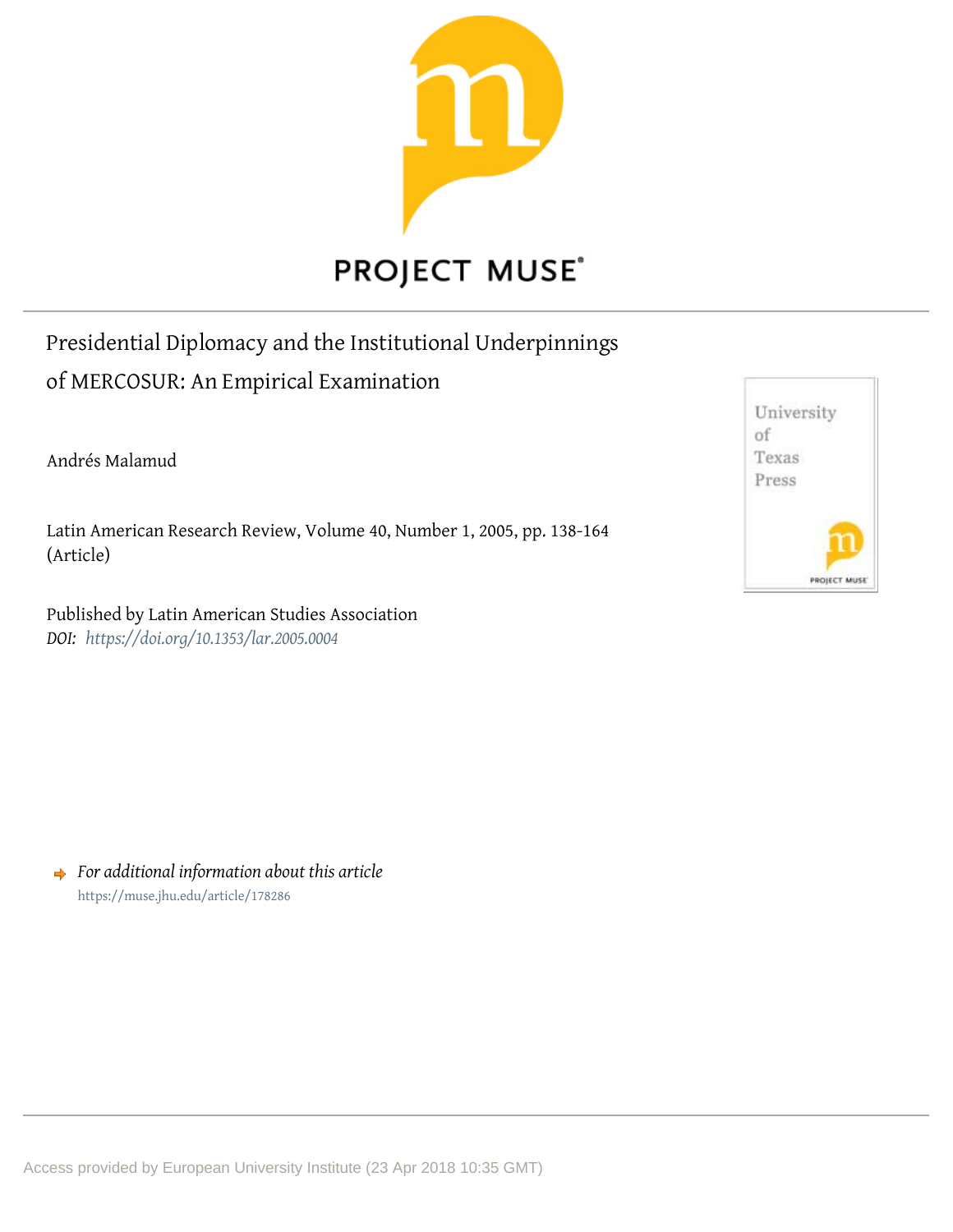

# Presidential Diplomacy and the Institutional Underpinnings of MERCOSUR: An Empirical Examination

Andrés Malamud

Latin American Research Review, Volume 40, Number 1, 2005, pp. 138-164 (Article)

Published by Latin American Studies Association *DOI: <https://doi.org/10.1353/lar.2005.0004>*



*For additional information about this article* <https://muse.jhu.edu/article/178286>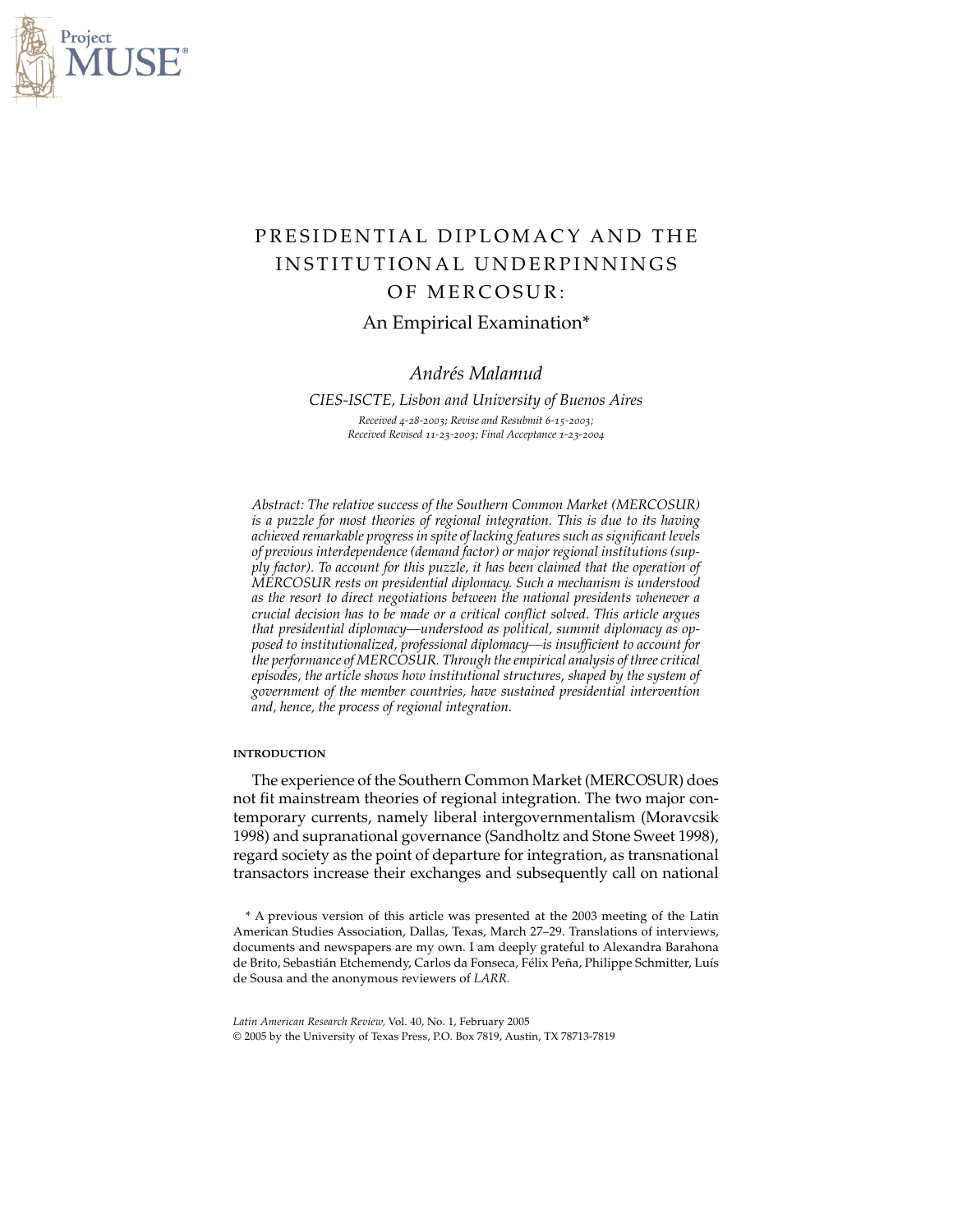

# PRESIDENTIAL DIPLOMACY AND THE INSTITUTIONAL UNDERPINNINGS OF MERCOSUR:

An Empirical Examination\*

### *Andrés Malamud*

*CIES-ISCTE, Lisbon and University of Buenos Aires*

*Received 4-28-2003; Revise and Resubmit 6-15-2003; Received Revised 11-23-2003; Final Acceptance 1-23-2004*

*Abstract: The relative success of the Southern Common Market (MERCOSUR) is a puzzle for most theories of regional integration. This is due to its having achieved remarkable progress in spite of lacking features such as significant levels of previous interdependence (demand factor) or major regional institutions (supply factor). To account for this puzzle, it has been claimed that the operation of MERCOSUR rests on presidential diplomacy. Such a mechanism is understood as the resort to direct negotiations between the national presidents whenever a crucial decision has to be made or a critical conflict solved. This article argues that presidential diplomacy—understood as political, summit diplomacy as opposed to institutionalized, professional diplomacy—is insufficient to account for the performance of MERCOSUR. Through the empirical analysis of three critical episodes, the article shows how institutional structures, shaped by the system of government of the member countries, have sustained presidential intervention and, hence, the process of regional integration.*

#### **INTRODUCTION**

The experience of the Southern Common Market (MERCOSUR) does not fit mainstream theories of regional integration. The two major contemporary currents, namely liberal intergovernmentalism (Moravcsik 1998) and supranational governance (Sandholtz and Stone Sweet 1998), regard society as the point of departure for integration, as transnational transactors increase their exchanges and subsequently call on national

\* A previous version of this article was presented at the 2003 meeting of the Latin American Studies Association, Dallas, Texas, March 27–29. Translations of interviews, documents and newspapers are my own. I am deeply grateful to Alexandra Barahona de Brito, Sebastián Etchemendy, Carlos da Fonseca, Félix Peña, Philippe Schmitter, Luís de Sousa and the anonymous reviewers of *LARR.*

*Latin American Research Review,* Vol. 40, No. 1, February 2005 © 2005 by the University of Texas Press, P.O. Box 7819, Austin, TX 78713-7819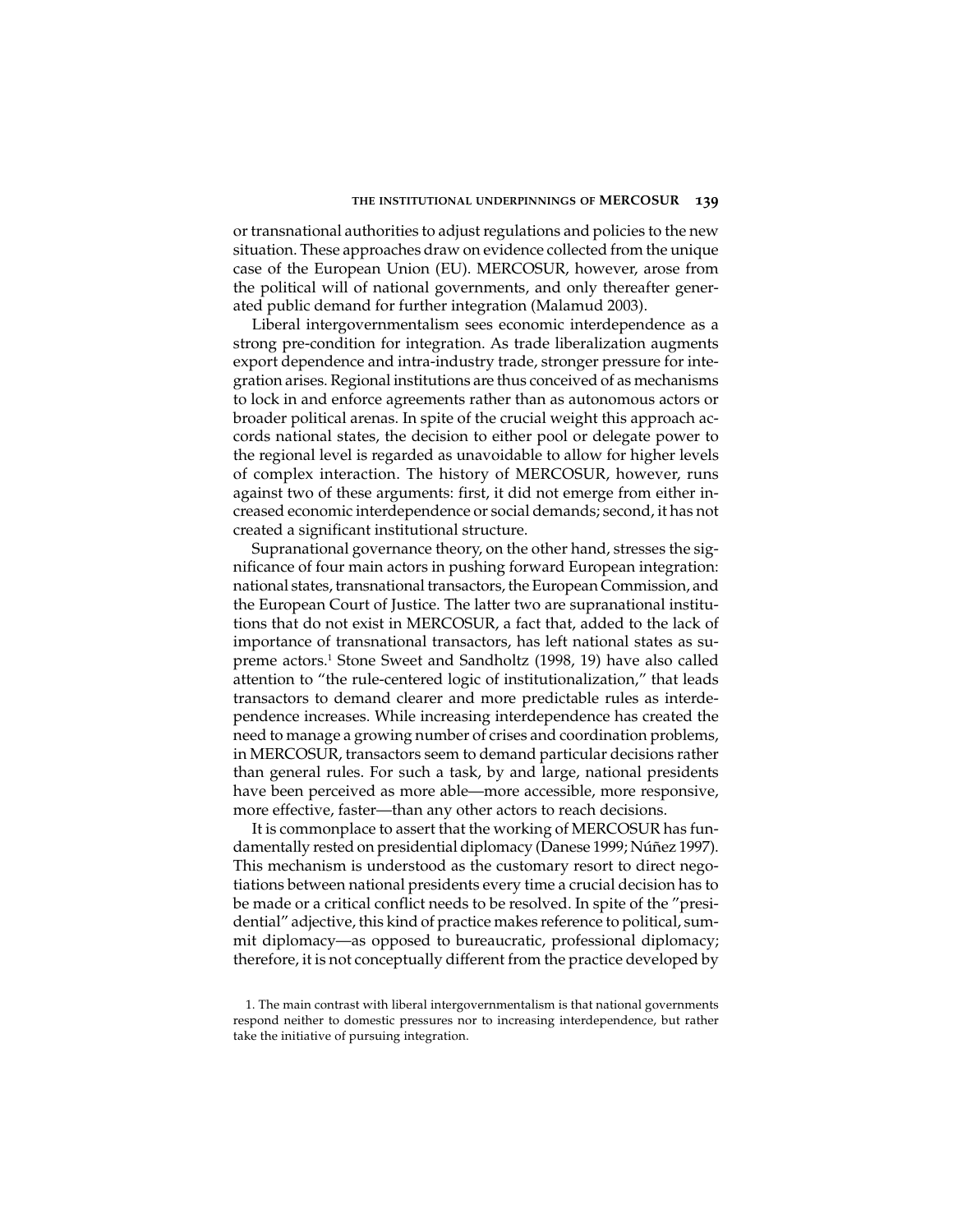or transnational authorities to adjust regulations and policies to the new situation. These approaches draw on evidence collected from the unique case of the European Union (EU). MERCOSUR, however, arose from the political will of national governments, and only thereafter generated public demand for further integration (Malamud 2003).

Liberal intergovernmentalism sees economic interdependence as a strong pre-condition for integration. As trade liberalization augments export dependence and intra-industry trade, stronger pressure for integration arises. Regional institutions are thus conceived of as mechanisms to lock in and enforce agreements rather than as autonomous actors or broader political arenas. In spite of the crucial weight this approach accords national states, the decision to either pool or delegate power to the regional level is regarded as unavoidable to allow for higher levels of complex interaction. The history of MERCOSUR, however, runs against two of these arguments: first, it did not emerge from either increased economic interdependence or social demands; second, it has not created a significant institutional structure.

Supranational governance theory, on the other hand, stresses the significance of four main actors in pushing forward European integration: national states, transnational transactors, the European Commission, and the European Court of Justice. The latter two are supranational institutions that do not exist in MERCOSUR, a fact that, added to the lack of importance of transnational transactors, has left national states as supreme actors.<sup>1</sup> Stone Sweet and Sandholtz (1998, 19) have also called attention to "the rule-centered logic of institutionalization," that leads transactors to demand clearer and more predictable rules as interdependence increases. While increasing interdependence has created the need to manage a growing number of crises and coordination problems, in MERCOSUR, transactors seem to demand particular decisions rather than general rules. For such a task, by and large, national presidents have been perceived as more able—more accessible, more responsive, more effective, faster—than any other actors to reach decisions.

It is commonplace to assert that the working of MERCOSUR has fundamentally rested on presidential diplomacy (Danese 1999; Núñez 1997). This mechanism is understood as the customary resort to direct negotiations between national presidents every time a crucial decision has to be made or a critical conflict needs to be resolved. In spite of the "presidential" adjective, this kind of practice makes reference to political, summit diplomacy—as opposed to bureaucratic, professional diplomacy; therefore, it is not conceptually different from the practice developed by

<sup>1.</sup> The main contrast with liberal intergovernmentalism is that national governments respond neither to domestic pressures nor to increasing interdependence, but rather take the initiative of pursuing integration.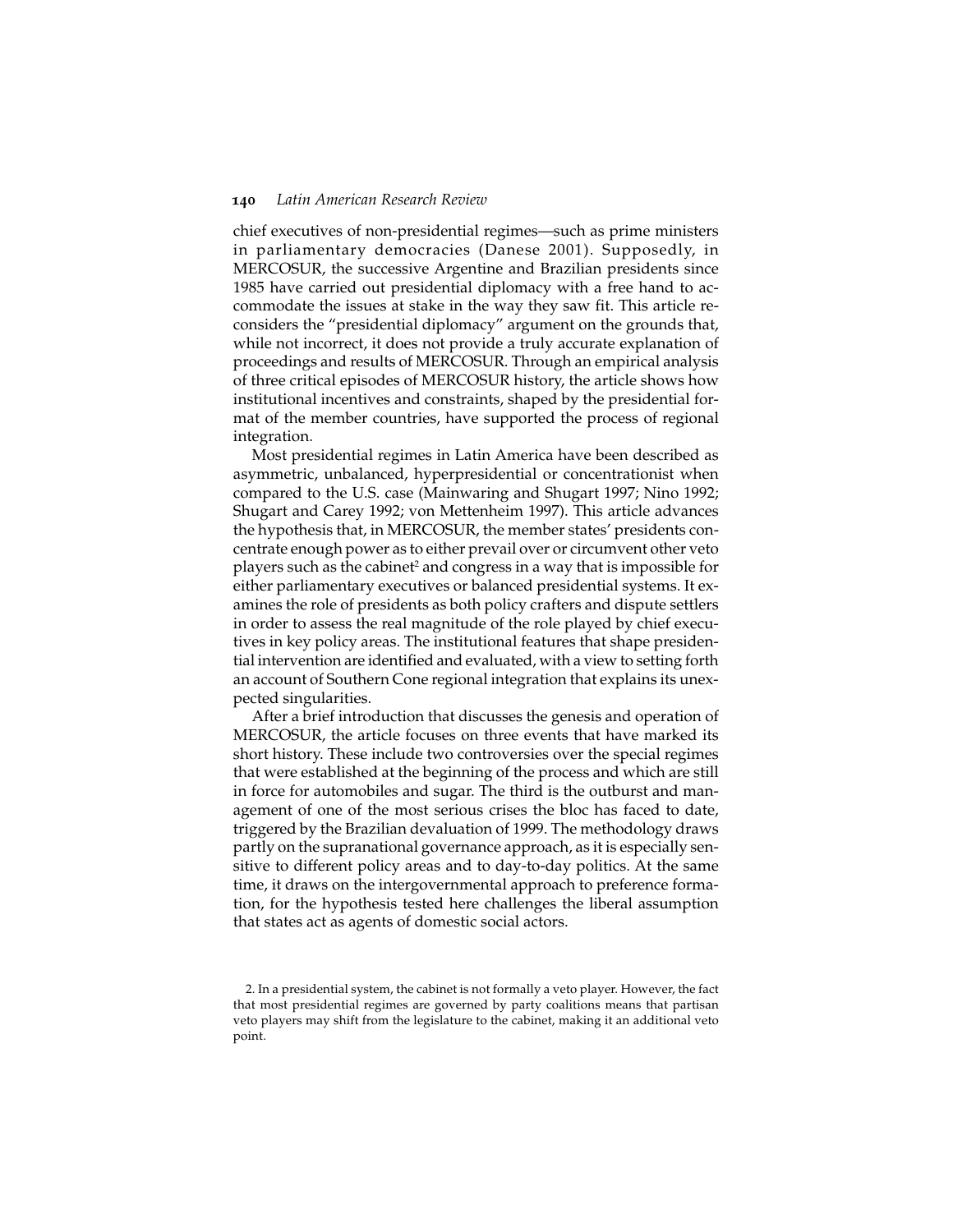chief executives of non-presidential regimes—such as prime ministers in parliamentary democracies (Danese 2001). Supposedly, in MERCOSUR, the successive Argentine and Brazilian presidents since 1985 have carried out presidential diplomacy with a free hand to accommodate the issues at stake in the way they saw fit. This article reconsiders the "presidential diplomacy" argument on the grounds that, while not incorrect, it does not provide a truly accurate explanation of proceedings and results of MERCOSUR. Through an empirical analysis of three critical episodes of MERCOSUR history, the article shows how institutional incentives and constraints, shaped by the presidential format of the member countries, have supported the process of regional integration.

Most presidential regimes in Latin America have been described as asymmetric, unbalanced, hyperpresidential or concentrationist when compared to the U.S. case (Mainwaring and Shugart 1997; Nino 1992; Shugart and Carey 1992; von Mettenheim 1997). This article advances the hypothesis that, in MERCOSUR, the member states' presidents concentrate enough power as to either prevail over or circumvent other veto players such as the cabinet<sup>2</sup> and congress in a way that is impossible for either parliamentary executives or balanced presidential systems. It examines the role of presidents as both policy crafters and dispute settlers in order to assess the real magnitude of the role played by chief executives in key policy areas. The institutional features that shape presidential intervention are identified and evaluated, with a view to setting forth an account of Southern Cone regional integration that explains its unexpected singularities.

After a brief introduction that discusses the genesis and operation of MERCOSUR, the article focuses on three events that have marked its short history. These include two controversies over the special regimes that were established at the beginning of the process and which are still in force for automobiles and sugar. The third is the outburst and management of one of the most serious crises the bloc has faced to date, triggered by the Brazilian devaluation of 1999. The methodology draws partly on the supranational governance approach, as it is especially sensitive to different policy areas and to day-to-day politics. At the same time, it draws on the intergovernmental approach to preference formation, for the hypothesis tested here challenges the liberal assumption that states act as agents of domestic social actors.

<sup>2.</sup> In a presidential system, the cabinet is not formally a veto player. However, the fact that most presidential regimes are governed by party coalitions means that partisan veto players may shift from the legislature to the cabinet, making it an additional veto point.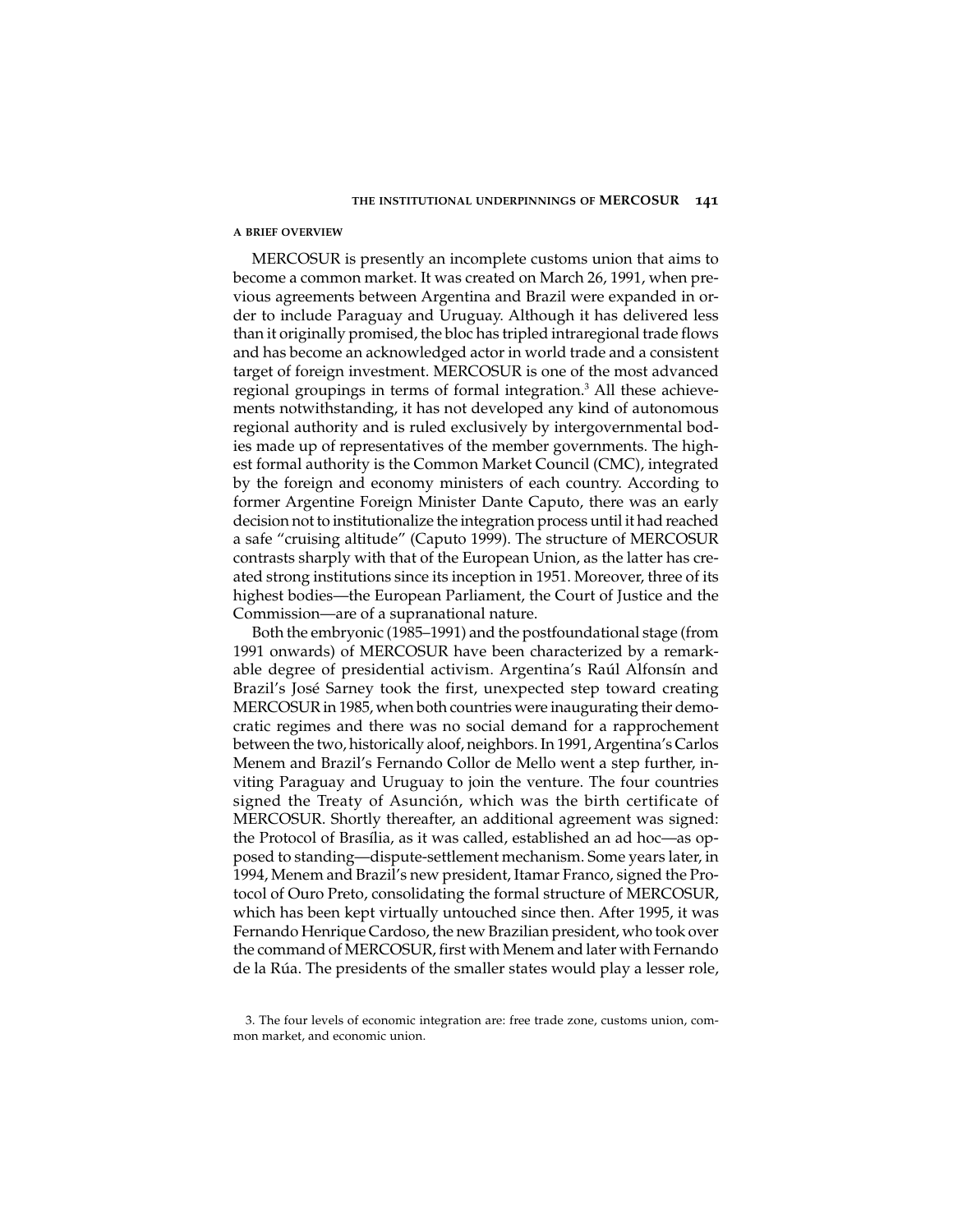#### **A BRIEF OVERVIEW**

MERCOSUR is presently an incomplete customs union that aims to become a common market. It was created on March 26, 1991, when previous agreements between Argentina and Brazil were expanded in order to include Paraguay and Uruguay. Although it has delivered less than it originally promised, the bloc has tripled intraregional trade flows and has become an acknowledged actor in world trade and a consistent target of foreign investment. MERCOSUR is one of the most advanced regional groupings in terms of formal integration.3 All these achievements notwithstanding, it has not developed any kind of autonomous regional authority and is ruled exclusively by intergovernmental bodies made up of representatives of the member governments. The highest formal authority is the Common Market Council (CMC), integrated by the foreign and economy ministers of each country. According to former Argentine Foreign Minister Dante Caputo, there was an early decision not to institutionalize the integration process until it had reached a safe "cruising altitude" (Caputo 1999). The structure of MERCOSUR contrasts sharply with that of the European Union, as the latter has created strong institutions since its inception in 1951. Moreover, three of its highest bodies—the European Parliament, the Court of Justice and the Commission—are of a supranational nature.

Both the embryonic (1985–1991) and the postfoundational stage (from 1991 onwards) of MERCOSUR have been characterized by a remarkable degree of presidential activism. Argentina's Raúl Alfonsín and Brazil's José Sarney took the first, unexpected step toward creating MERCOSUR in 1985, when both countries were inaugurating their democratic regimes and there was no social demand for a rapprochement between the two, historically aloof, neighbors. In 1991, Argentina's Carlos Menem and Brazil's Fernando Collor de Mello went a step further, inviting Paraguay and Uruguay to join the venture. The four countries signed the Treaty of Asunción, which was the birth certificate of MERCOSUR. Shortly thereafter, an additional agreement was signed: the Protocol of Brasília, as it was called, established an ad hoc—as opposed to standing—dispute-settlement mechanism. Some years later, in 1994, Menem and Brazil's new president, Itamar Franco, signed the Protocol of Ouro Preto, consolidating the formal structure of MERCOSUR, which has been kept virtually untouched since then. After 1995, it was Fernando Henrique Cardoso, the new Brazilian president, who took over the command of MERCOSUR, first with Menem and later with Fernando de la Rúa. The presidents of the smaller states would play a lesser role,

<sup>3.</sup> The four levels of economic integration are: free trade zone, customs union, common market, and economic union.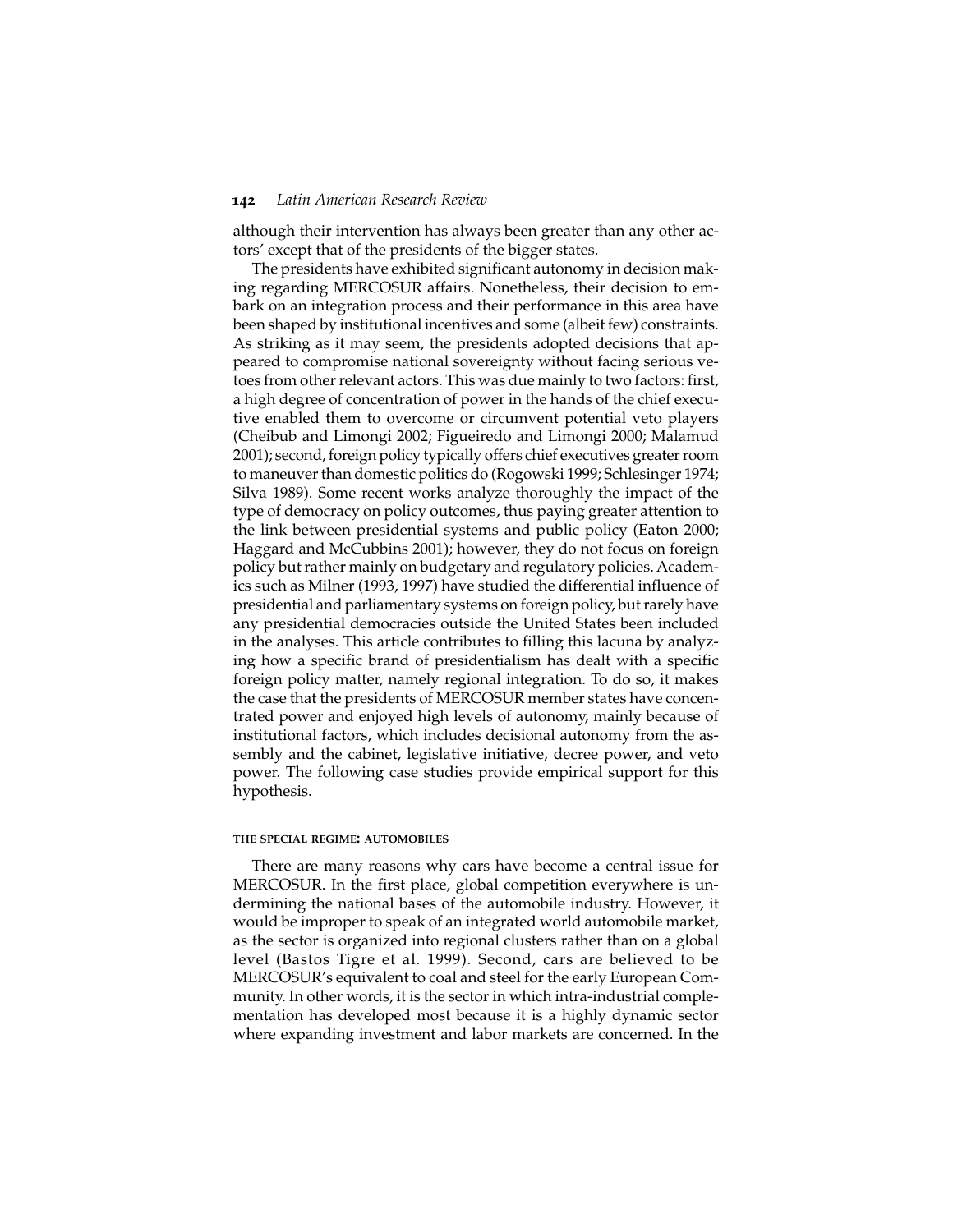although their intervention has always been greater than any other actors' except that of the presidents of the bigger states.

The presidents have exhibited significant autonomy in decision making regarding MERCOSUR affairs. Nonetheless, their decision to embark on an integration process and their performance in this area have been shaped by institutional incentives and some (albeit few) constraints. As striking as it may seem, the presidents adopted decisions that appeared to compromise national sovereignty without facing serious vetoes from other relevant actors. This was due mainly to two factors: first, a high degree of concentration of power in the hands of the chief executive enabled them to overcome or circumvent potential veto players (Cheibub and Limongi 2002; Figueiredo and Limongi 2000; Malamud 2001); second, foreign policy typically offers chief executives greater room to maneuver than domestic politics do (Rogowski 1999; Schlesinger 1974; Silva 1989). Some recent works analyze thoroughly the impact of the type of democracy on policy outcomes, thus paying greater attention to the link between presidential systems and public policy (Eaton 2000; Haggard and McCubbins 2001); however, they do not focus on foreign policy but rather mainly on budgetary and regulatory policies. Academics such as Milner (1993, 1997) have studied the differential influence of presidential and parliamentary systems on foreign policy, but rarely have any presidential democracies outside the United States been included in the analyses. This article contributes to filling this lacuna by analyzing how a specific brand of presidentialism has dealt with a specific foreign policy matter, namely regional integration. To do so, it makes the case that the presidents of MERCOSUR member states have concentrated power and enjoyed high levels of autonomy, mainly because of institutional factors, which includes decisional autonomy from the assembly and the cabinet, legislative initiative, decree power, and veto power. The following case studies provide empirical support for this hypothesis.

### **THE SPECIAL REGIME: AUTOMOBILES**

There are many reasons why cars have become a central issue for MERCOSUR. In the first place, global competition everywhere is undermining the national bases of the automobile industry. However, it would be improper to speak of an integrated world automobile market, as the sector is organized into regional clusters rather than on a global level (Bastos Tigre et al. 1999). Second, cars are believed to be MERCOSUR's equivalent to coal and steel for the early European Community. In other words, it is the sector in which intra-industrial complementation has developed most because it is a highly dynamic sector where expanding investment and labor markets are concerned. In the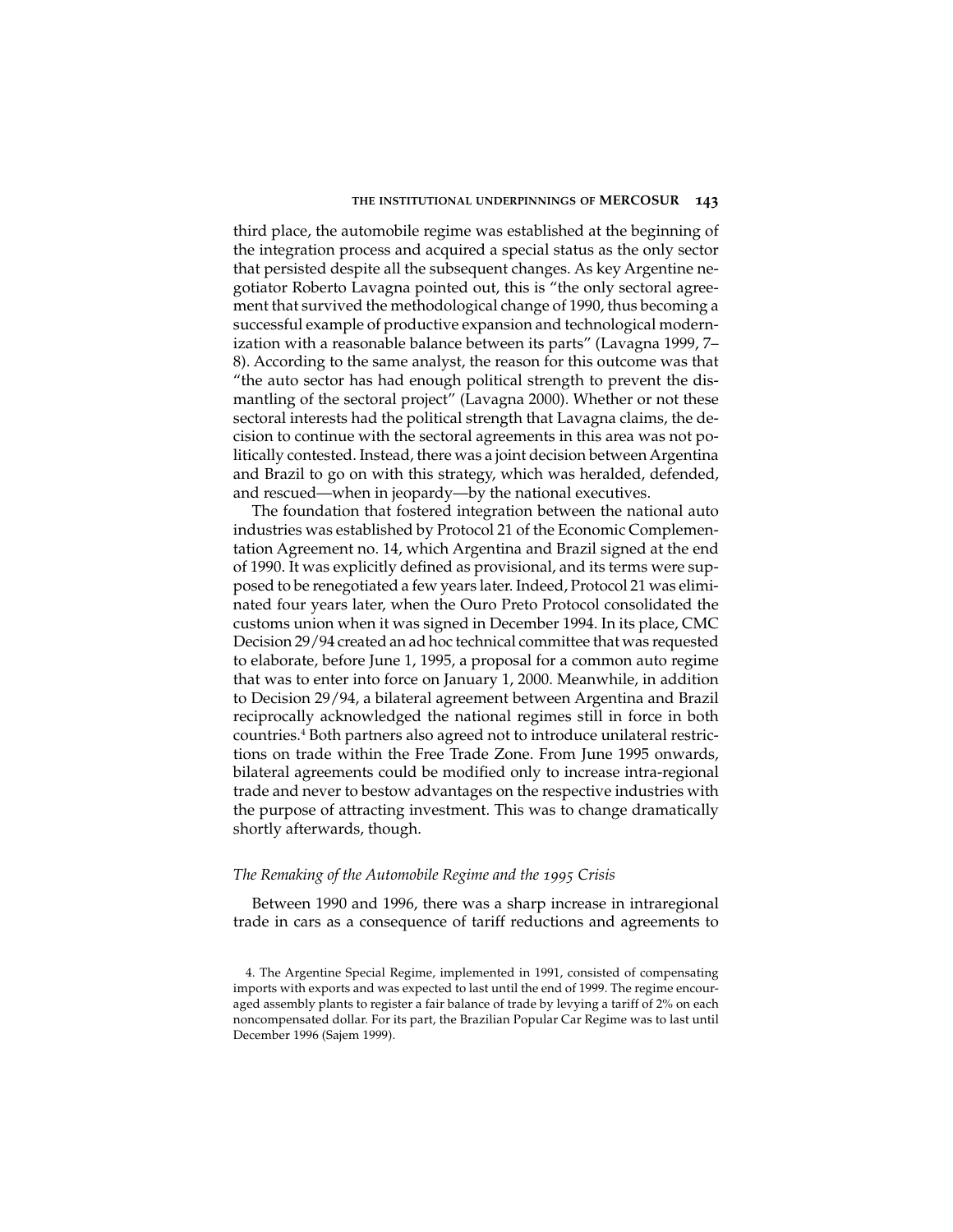third place, the automobile regime was established at the beginning of the integration process and acquired a special status as the only sector that persisted despite all the subsequent changes. As key Argentine negotiator Roberto Lavagna pointed out, this is "the only sectoral agreement that survived the methodological change of 1990, thus becoming a successful example of productive expansion and technological modernization with a reasonable balance between its parts" (Lavagna 1999, 7– 8). According to the same analyst, the reason for this outcome was that "the auto sector has had enough political strength to prevent the dismantling of the sectoral project" (Lavagna 2000). Whether or not these sectoral interests had the political strength that Lavagna claims, the decision to continue with the sectoral agreements in this area was not politically contested. Instead, there was a joint decision between Argentina and Brazil to go on with this strategy, which was heralded, defended, and rescued—when in jeopardy—by the national executives.

The foundation that fostered integration between the national auto industries was established by Protocol 21 of the Economic Complementation Agreement no. 14, which Argentina and Brazil signed at the end of 1990. It was explicitly defined as provisional, and its terms were supposed to be renegotiated a few years later. Indeed, Protocol 21 was eliminated four years later, when the Ouro Preto Protocol consolidated the customs union when it was signed in December 1994. In its place, CMC Decision 29/94 created an ad hoc technical committee that was requested to elaborate, before June 1, 1995, a proposal for a common auto regime that was to enter into force on January 1, 2000. Meanwhile, in addition to Decision 29/94, a bilateral agreement between Argentina and Brazil reciprocally acknowledged the national regimes still in force in both countries.4 Both partners also agreed not to introduce unilateral restrictions on trade within the Free Trade Zone. From June 1995 onwards, bilateral agreements could be modified only to increase intra-regional trade and never to bestow advantages on the respective industries with the purpose of attracting investment. This was to change dramatically shortly afterwards, though.

#### *The Remaking of the Automobile Regime and the 1995 Crisis*

Between 1990 and 1996, there was a sharp increase in intraregional trade in cars as a consequence of tariff reductions and agreements to

<sup>4.</sup> The Argentine Special Regime, implemented in 1991, consisted of compensating imports with exports and was expected to last until the end of 1999. The regime encouraged assembly plants to register a fair balance of trade by levying a tariff of 2% on each noncompensated dollar. For its part, the Brazilian Popular Car Regime was to last until December 1996 (Sajem 1999).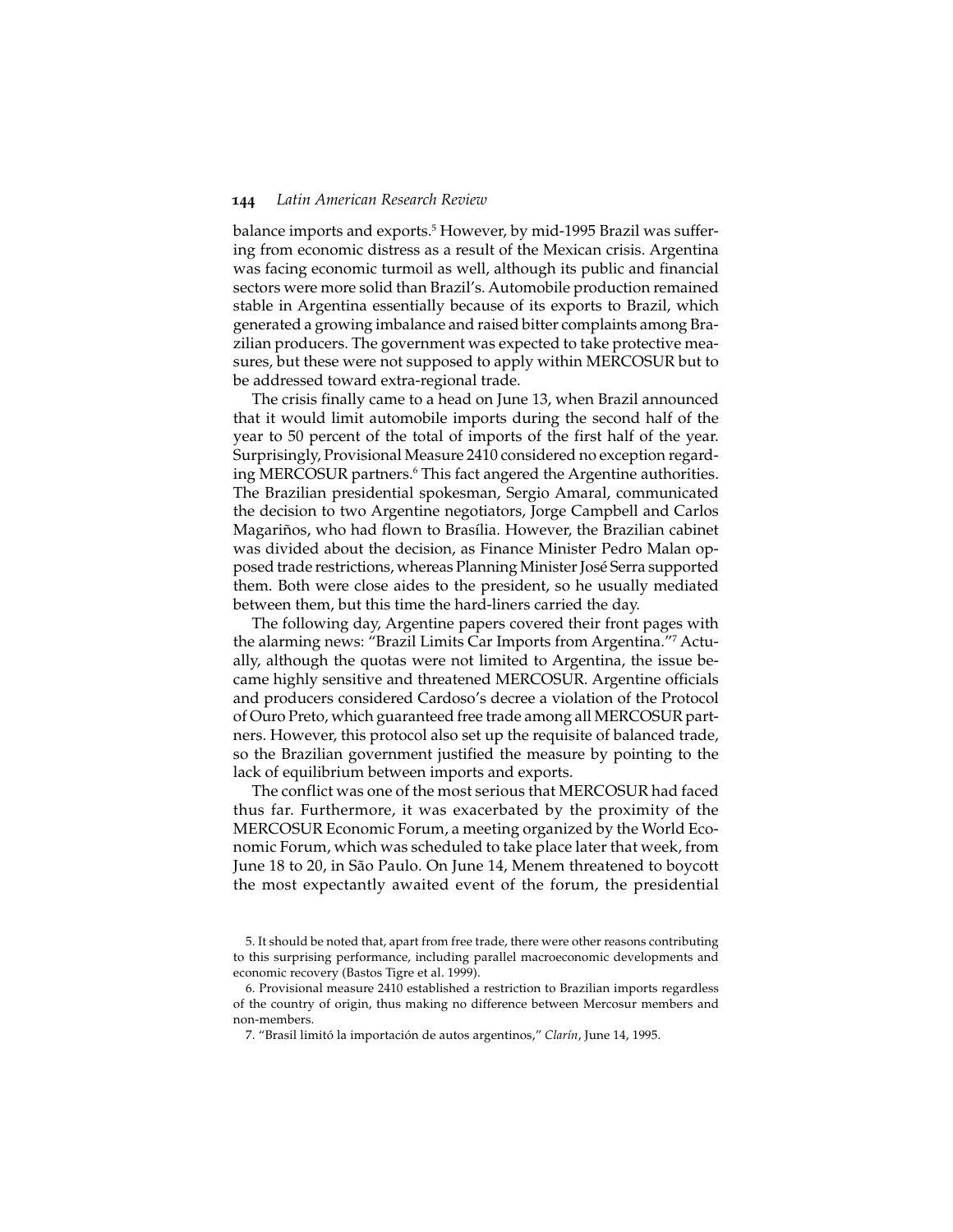balance imports and exports.5 However, by mid-1995 Brazil was suffering from economic distress as a result of the Mexican crisis. Argentina was facing economic turmoil as well, although its public and financial sectors were more solid than Brazil's. Automobile production remained stable in Argentina essentially because of its exports to Brazil, which generated a growing imbalance and raised bitter complaints among Brazilian producers. The government was expected to take protective measures, but these were not supposed to apply within MERCOSUR but to be addressed toward extra-regional trade.

The crisis finally came to a head on June 13, when Brazil announced that it would limit automobile imports during the second half of the year to 50 percent of the total of imports of the first half of the year. Surprisingly, Provisional Measure 2410 considered no exception regarding MERCOSUR partners.<sup>6</sup> This fact angered the Argentine authorities. The Brazilian presidential spokesman, Sergio Amaral, communicated the decision to two Argentine negotiators, Jorge Campbell and Carlos Magariños, who had flown to Brasília. However, the Brazilian cabinet was divided about the decision, as Finance Minister Pedro Malan opposed trade restrictions, whereas Planning Minister José Serra supported them. Both were close aides to the president, so he usually mediated between them, but this time the hard-liners carried the day.

The following day, Argentine papers covered their front pages with the alarming news: "Brazil Limits Car Imports from Argentina."7 Actually, although the quotas were not limited to Argentina, the issue became highly sensitive and threatened MERCOSUR. Argentine officials and producers considered Cardoso's decree a violation of the Protocol of Ouro Preto, which guaranteed free trade among all MERCOSUR partners. However, this protocol also set up the requisite of balanced trade, so the Brazilian government justified the measure by pointing to the lack of equilibrium between imports and exports.

The conflict was one of the most serious that MERCOSUR had faced thus far. Furthermore, it was exacerbated by the proximity of the MERCOSUR Economic Forum, a meeting organized by the World Economic Forum, which was scheduled to take place later that week, from June 18 to 20, in São Paulo. On June 14, Menem threatened to boycott the most expectantly awaited event of the forum, the presidential

<sup>5.</sup> It should be noted that, apart from free trade, there were other reasons contributing to this surprising performance, including parallel macroeconomic developments and economic recovery (Bastos Tigre et al. 1999).

<sup>6.</sup> Provisional measure 2410 established a restriction to Brazilian imports regardless of the country of origin, thus making no difference between Mercosur members and non-members.

<sup>7. &</sup>quot;Brasil limitó la importación de autos argentinos," *Clarín*, June 14, 1995.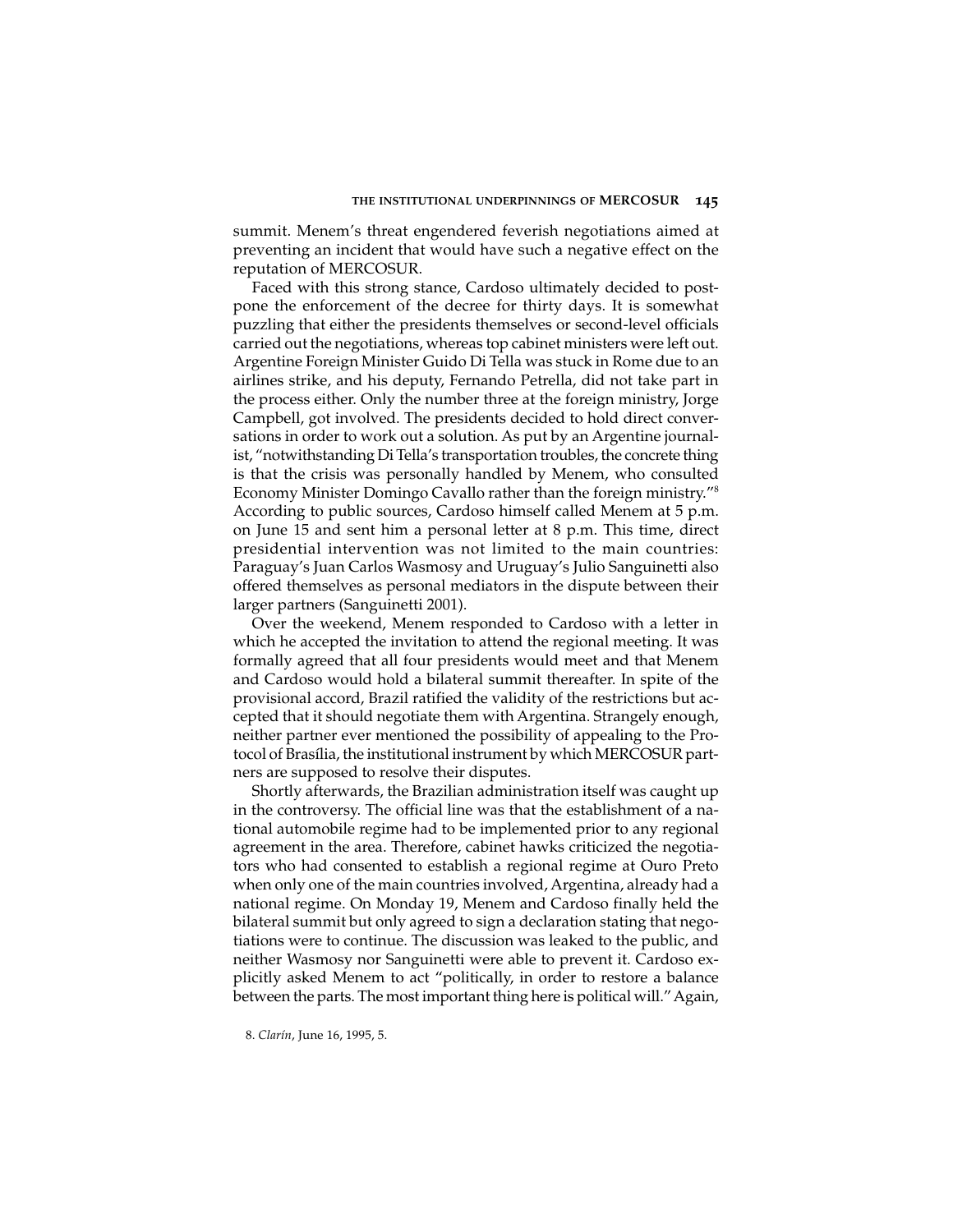summit. Menem's threat engendered feverish negotiations aimed at preventing an incident that would have such a negative effect on the reputation of MERCOSUR.

Faced with this strong stance, Cardoso ultimately decided to postpone the enforcement of the decree for thirty days. It is somewhat puzzling that either the presidents themselves or second-level officials carried out the negotiations, whereas top cabinet ministers were left out. Argentine Foreign Minister Guido Di Tella was stuck in Rome due to an airlines strike, and his deputy, Fernando Petrella, did not take part in the process either. Only the number three at the foreign ministry, Jorge Campbell, got involved. The presidents decided to hold direct conversations in order to work out a solution. As put by an Argentine journalist, "notwithstanding Di Tella's transportation troubles, the concrete thing is that the crisis was personally handled by Menem, who consulted Economy Minister Domingo Cavallo rather than the foreign ministry."8 According to public sources, Cardoso himself called Menem at 5 p.m. on June 15 and sent him a personal letter at 8 p.m. This time, direct presidential intervention was not limited to the main countries: Paraguay's Juan Carlos Wasmosy and Uruguay's Julio Sanguinetti also offered themselves as personal mediators in the dispute between their larger partners (Sanguinetti 2001).

Over the weekend, Menem responded to Cardoso with a letter in which he accepted the invitation to attend the regional meeting. It was formally agreed that all four presidents would meet and that Menem and Cardoso would hold a bilateral summit thereafter. In spite of the provisional accord, Brazil ratified the validity of the restrictions but accepted that it should negotiate them with Argentina. Strangely enough, neither partner ever mentioned the possibility of appealing to the Protocol of Brasília, the institutional instrument by which MERCOSUR partners are supposed to resolve their disputes.

Shortly afterwards, the Brazilian administration itself was caught up in the controversy. The official line was that the establishment of a national automobile regime had to be implemented prior to any regional agreement in the area. Therefore, cabinet hawks criticized the negotiators who had consented to establish a regional regime at Ouro Preto when only one of the main countries involved, Argentina, already had a national regime. On Monday 19, Menem and Cardoso finally held the bilateral summit but only agreed to sign a declaration stating that negotiations were to continue. The discussion was leaked to the public, and neither Wasmosy nor Sanguinetti were able to prevent it. Cardoso explicitly asked Menem to act "politically, in order to restore a balance between the parts. The most important thing here is political will." Again,

<sup>8.</sup> *Clarín*, June 16, 1995, 5.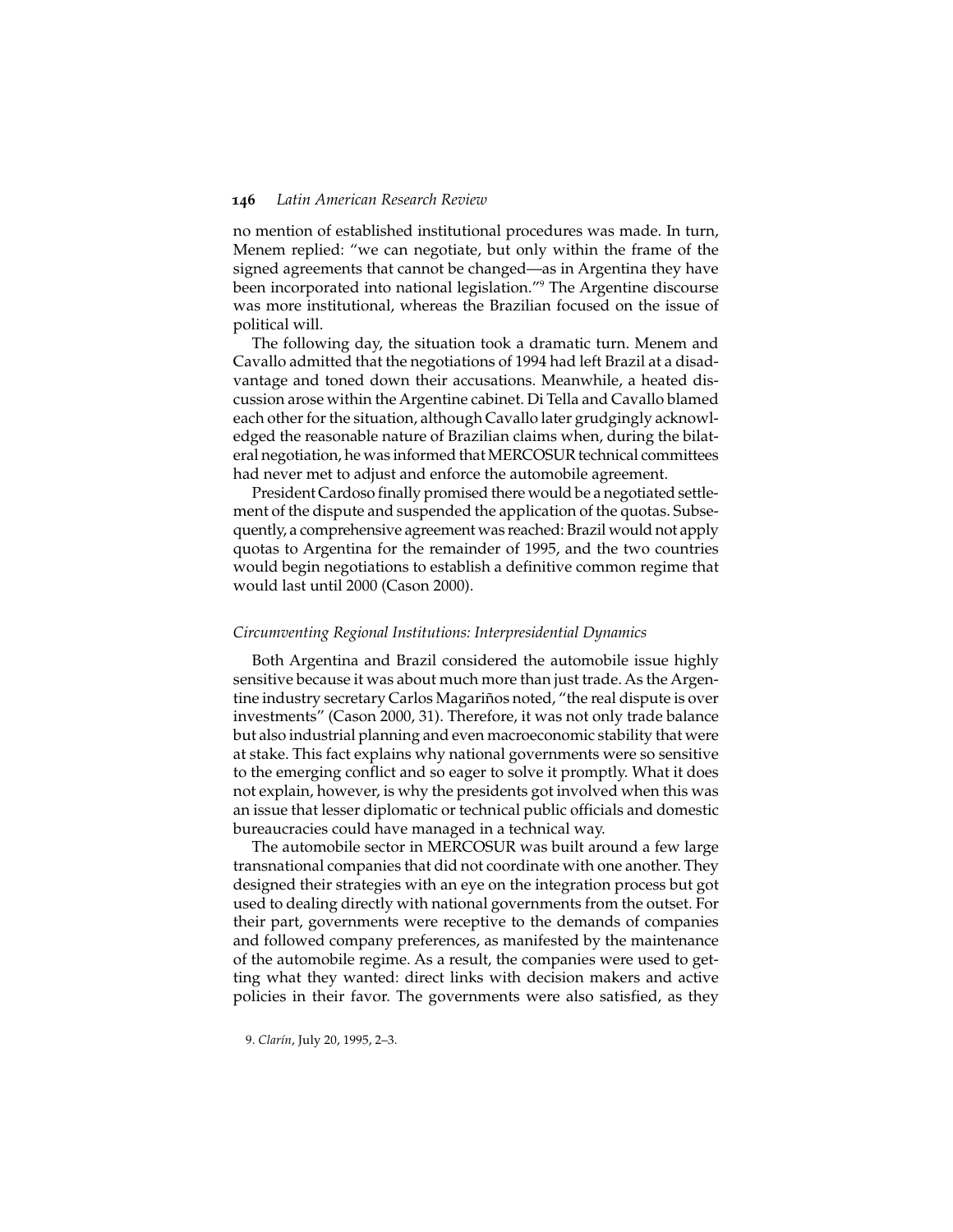no mention of established institutional procedures was made. In turn, Menem replied: "we can negotiate, but only within the frame of the signed agreements that cannot be changed—as in Argentina they have been incorporated into national legislation."9 The Argentine discourse was more institutional, whereas the Brazilian focused on the issue of political will.

The following day, the situation took a dramatic turn. Menem and Cavallo admitted that the negotiations of 1994 had left Brazil at a disadvantage and toned down their accusations. Meanwhile, a heated discussion arose within the Argentine cabinet. Di Tella and Cavallo blamed each other for the situation, although Cavallo later grudgingly acknowledged the reasonable nature of Brazilian claims when, during the bilateral negotiation, he was informed that MERCOSUR technical committees had never met to adjust and enforce the automobile agreement.

President Cardoso finally promised there would be a negotiated settlement of the dispute and suspended the application of the quotas. Subsequently, a comprehensive agreement was reached: Brazil would not apply quotas to Argentina for the remainder of 1995, and the two countries would begin negotiations to establish a definitive common regime that would last until 2000 (Cason 2000).

### *Circumventing Regional Institutions: Interpresidential Dynamics*

Both Argentina and Brazil considered the automobile issue highly sensitive because it was about much more than just trade. As the Argentine industry secretary Carlos Magariños noted, "the real dispute is over investments" (Cason 2000, 31). Therefore, it was not only trade balance but also industrial planning and even macroeconomic stability that were at stake. This fact explains why national governments were so sensitive to the emerging conflict and so eager to solve it promptly. What it does not explain, however, is why the presidents got involved when this was an issue that lesser diplomatic or technical public officials and domestic bureaucracies could have managed in a technical way.

The automobile sector in MERCOSUR was built around a few large transnational companies that did not coordinate with one another. They designed their strategies with an eye on the integration process but got used to dealing directly with national governments from the outset. For their part, governments were receptive to the demands of companies and followed company preferences, as manifested by the maintenance of the automobile regime. As a result, the companies were used to getting what they wanted: direct links with decision makers and active policies in their favor. The governments were also satisfied, as they

<sup>9.</sup> *Clarín*, July 20, 1995, 2–3.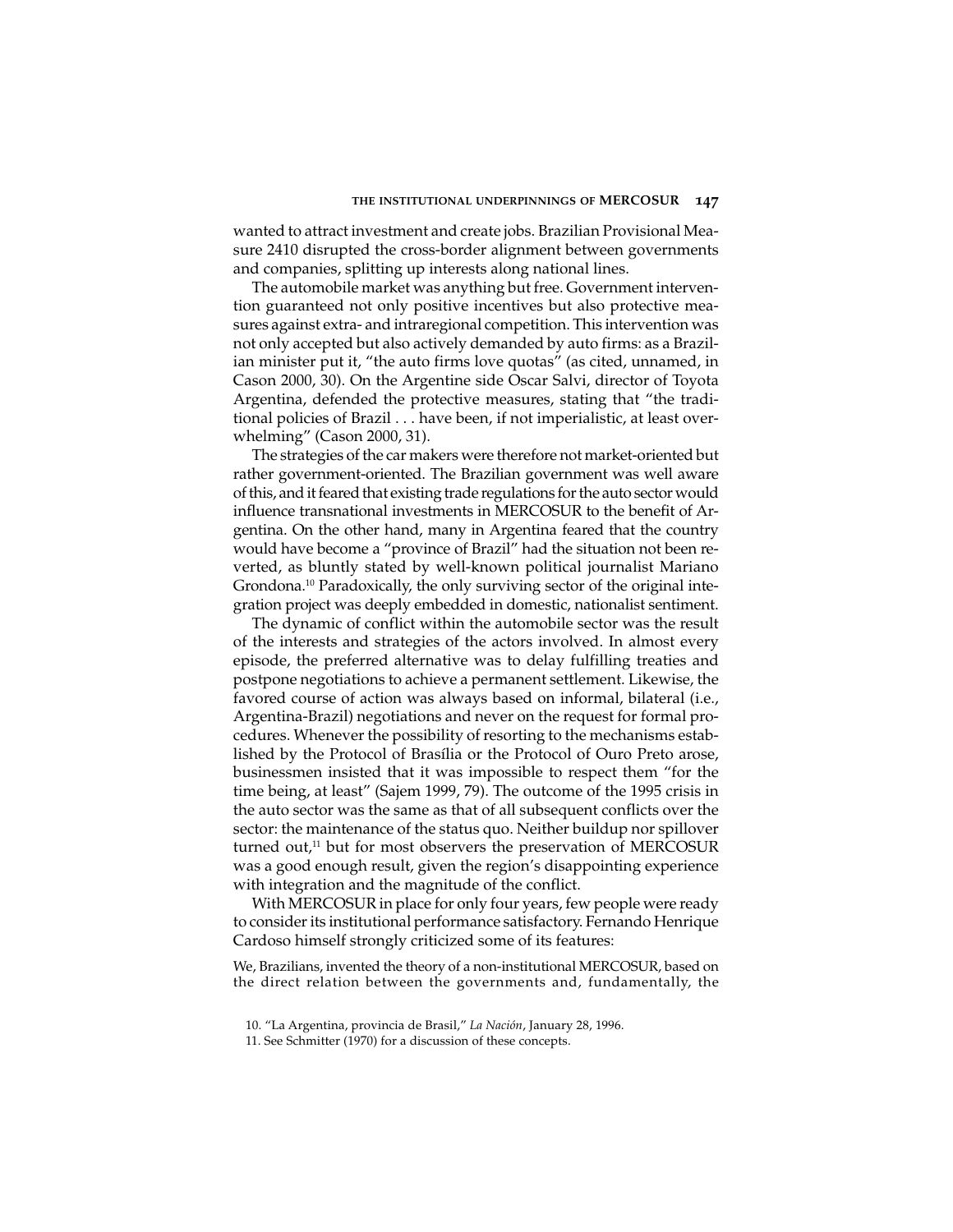wanted to attract investment and create jobs. Brazilian Provisional Measure 2410 disrupted the cross-border alignment between governments and companies, splitting up interests along national lines.

The automobile market was anything but free. Government intervention guaranteed not only positive incentives but also protective measures against extra- and intraregional competition. This intervention was not only accepted but also actively demanded by auto firms: as a Brazilian minister put it, "the auto firms love quotas" (as cited, unnamed, in Cason 2000, 30). On the Argentine side Oscar Salvi, director of Toyota Argentina, defended the protective measures, stating that "the traditional policies of Brazil . . . have been, if not imperialistic, at least overwhelming" (Cason 2000, 31).

The strategies of the car makers were therefore not market-oriented but rather government-oriented. The Brazilian government was well aware of this, and it feared that existing trade regulations for the auto sector would influence transnational investments in MERCOSUR to the benefit of Argentina. On the other hand, many in Argentina feared that the country would have become a "province of Brazil" had the situation not been reverted, as bluntly stated by well-known political journalist Mariano Grondona.10 Paradoxically, the only surviving sector of the original integration project was deeply embedded in domestic, nationalist sentiment.

The dynamic of conflict within the automobile sector was the result of the interests and strategies of the actors involved. In almost every episode, the preferred alternative was to delay fulfilling treaties and postpone negotiations to achieve a permanent settlement. Likewise, the favored course of action was always based on informal, bilateral (i.e., Argentina-Brazil) negotiations and never on the request for formal procedures. Whenever the possibility of resorting to the mechanisms established by the Protocol of Brasília or the Protocol of Ouro Preto arose, businessmen insisted that it was impossible to respect them "for the time being, at least" (Sajem 1999, 79). The outcome of the 1995 crisis in the auto sector was the same as that of all subsequent conflicts over the sector: the maintenance of the status quo. Neither buildup nor spillover turned out,<sup>11</sup> but for most observers the preservation of MERCOSUR was a good enough result, given the region's disappointing experience with integration and the magnitude of the conflict.

With MERCOSUR in place for only four years, few people were ready to consider its institutional performance satisfactory. Fernando Henrique Cardoso himself strongly criticized some of its features:

We, Brazilians, invented the theory of a non-institutional MERCOSUR, based on the direct relation between the governments and, fundamentally, the

<sup>10. &</sup>quot;La Argentina, provincia de Brasil," *La Nación*, January 28, 1996.

<sup>11.</sup> See Schmitter (1970) for a discussion of these concepts.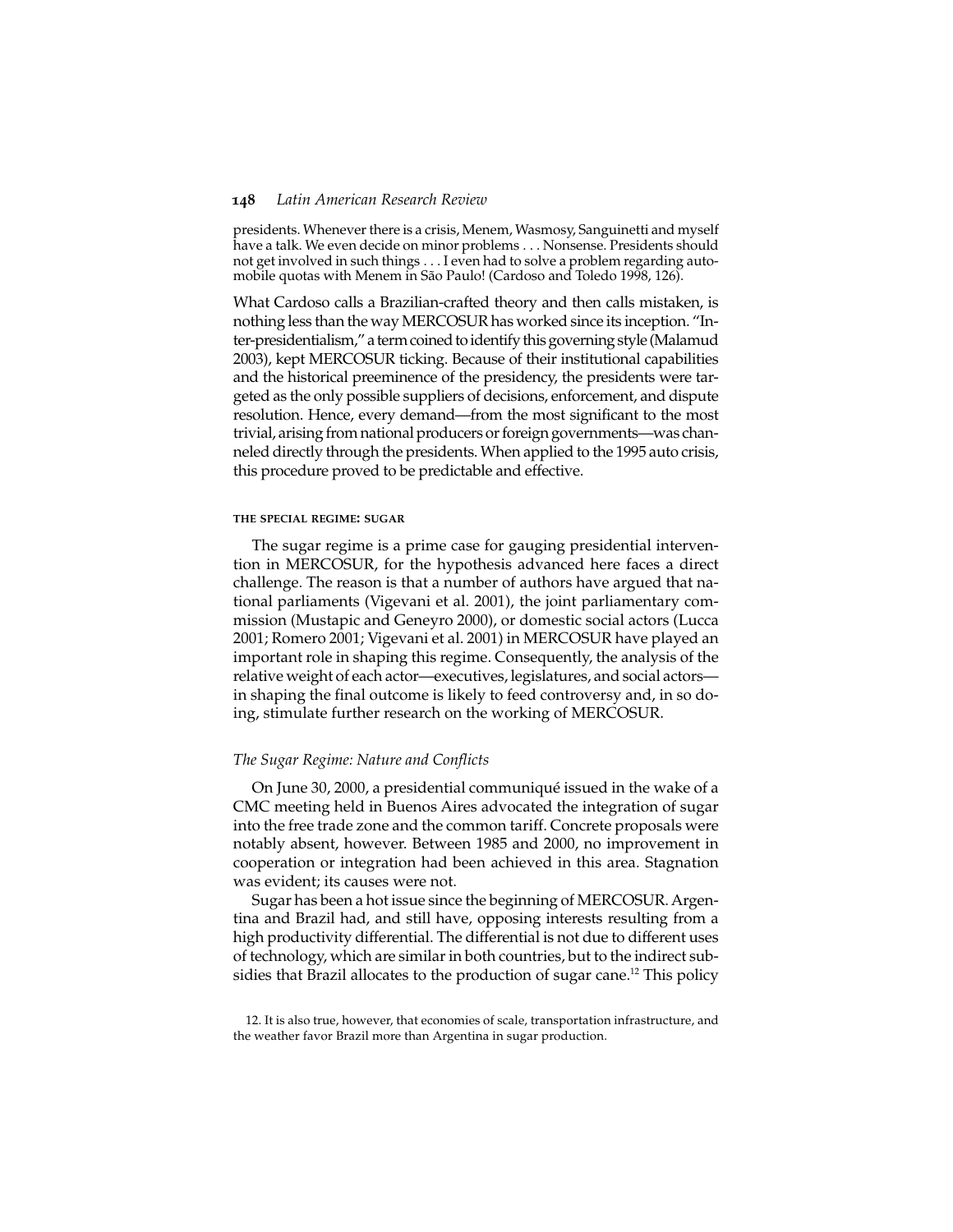presidents. Whenever there is a crisis, Menem, Wasmosy, Sanguinetti and myself have a talk. We even decide on minor problems . . . Nonsense. Presidents should not get involved in such things . . . I even had to solve a problem regarding automobile quotas with Menem in São Paulo! (Cardoso and Toledo 1998, 126).

What Cardoso calls a Brazilian-crafted theory and then calls mistaken, is nothing less than the way MERCOSUR has worked since its inception. "Inter-presidentialism," a term coined to identify this governing style (Malamud 2003), kept MERCOSUR ticking. Because of their institutional capabilities and the historical preeminence of the presidency, the presidents were targeted as the only possible suppliers of decisions, enforcement, and dispute resolution. Hence, every demand—from the most significant to the most trivial, arising from national producers or foreign governments—was channeled directly through the presidents. When applied to the 1995 auto crisis, this procedure proved to be predictable and effective.

#### **THE SPECIAL REGIME: SUGAR**

The sugar regime is a prime case for gauging presidential intervention in MERCOSUR, for the hypothesis advanced here faces a direct challenge. The reason is that a number of authors have argued that national parliaments (Vigevani et al. 2001), the joint parliamentary commission (Mustapic and Geneyro 2000), or domestic social actors (Lucca 2001; Romero 2001; Vigevani et al. 2001) in MERCOSUR have played an important role in shaping this regime. Consequently, the analysis of the relative weight of each actor—executives, legislatures, and social actors in shaping the final outcome is likely to feed controversy and, in so doing, stimulate further research on the working of MERCOSUR.

#### *The Sugar Regime: Nature and Conflicts*

On June 30, 2000, a presidential communiqué issued in the wake of a CMC meeting held in Buenos Aires advocated the integration of sugar into the free trade zone and the common tariff. Concrete proposals were notably absent, however. Between 1985 and 2000, no improvement in cooperation or integration had been achieved in this area. Stagnation was evident; its causes were not.

Sugar has been a hot issue since the beginning of MERCOSUR. Argentina and Brazil had, and still have, opposing interests resulting from a high productivity differential. The differential is not due to different uses of technology, which are similar in both countries, but to the indirect subsidies that Brazil allocates to the production of sugar cane.12 This policy

<sup>12.</sup> It is also true, however, that economies of scale, transportation infrastructure, and the weather favor Brazil more than Argentina in sugar production.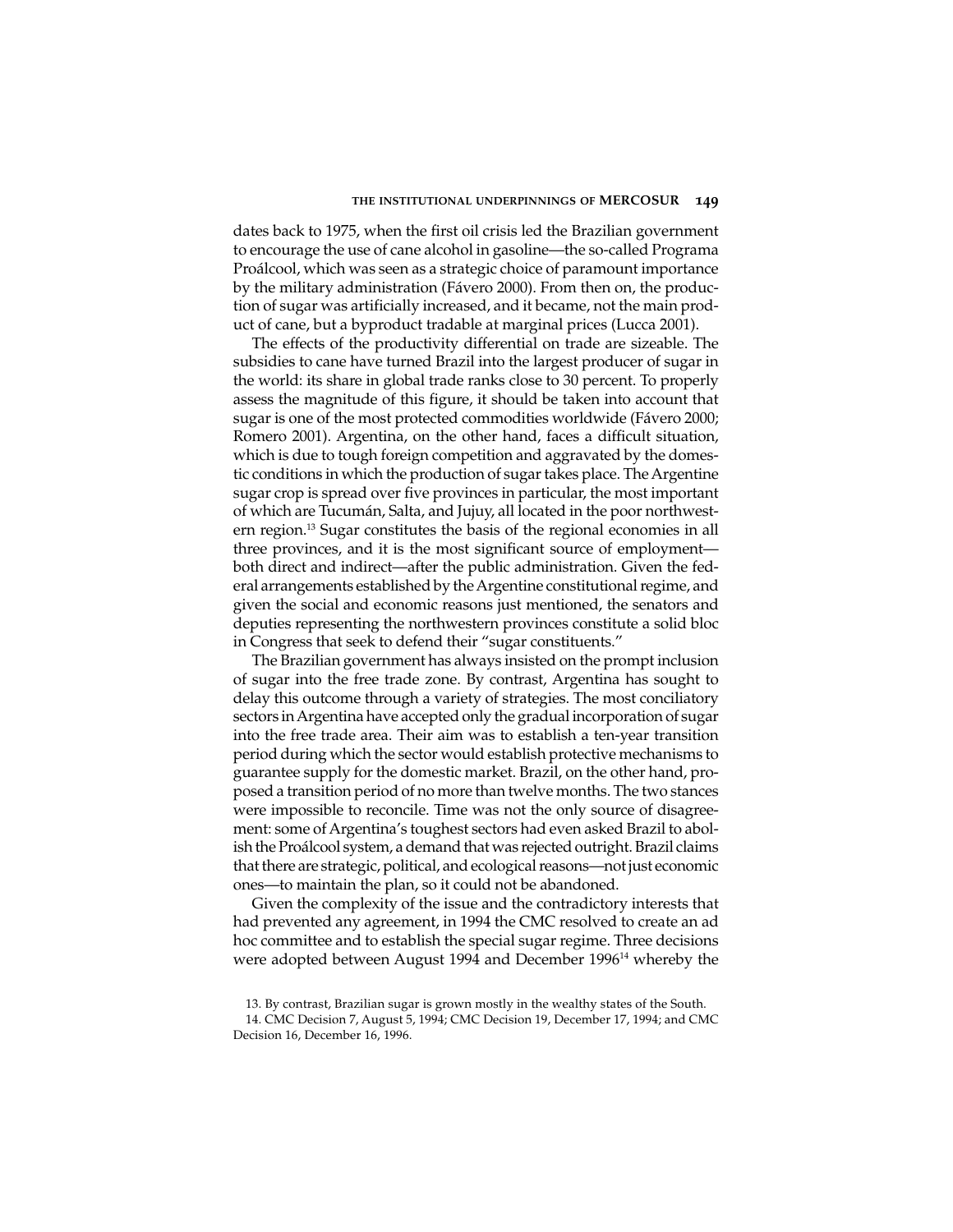dates back to 1975, when the first oil crisis led the Brazilian government to encourage the use of cane alcohol in gasoline—the so-called Programa Proálcool, which was seen as a strategic choice of paramount importance by the military administration (Fávero 2000). From then on, the production of sugar was artificially increased, and it became, not the main product of cane, but a byproduct tradable at marginal prices (Lucca 2001).

The effects of the productivity differential on trade are sizeable. The subsidies to cane have turned Brazil into the largest producer of sugar in the world: its share in global trade ranks close to 30 percent. To properly assess the magnitude of this figure, it should be taken into account that sugar is one of the most protected commodities worldwide (Fávero 2000; Romero 2001). Argentina, on the other hand, faces a difficult situation, which is due to tough foreign competition and aggravated by the domestic conditions in which the production of sugar takes place. The Argentine sugar crop is spread over five provinces in particular, the most important of which are Tucumán, Salta, and Jujuy, all located in the poor northwestern region.13 Sugar constitutes the basis of the regional economies in all three provinces, and it is the most significant source of employment both direct and indirect—after the public administration. Given the federal arrangements established by the Argentine constitutional regime, and given the social and economic reasons just mentioned, the senators and deputies representing the northwestern provinces constitute a solid bloc in Congress that seek to defend their "sugar constituents."

The Brazilian government has always insisted on the prompt inclusion of sugar into the free trade zone. By contrast, Argentina has sought to delay this outcome through a variety of strategies. The most conciliatory sectors in Argentina have accepted only the gradual incorporation of sugar into the free trade area. Their aim was to establish a ten-year transition period during which the sector would establish protective mechanisms to guarantee supply for the domestic market. Brazil, on the other hand, proposed a transition period of no more than twelve months. The two stances were impossible to reconcile. Time was not the only source of disagreement: some of Argentina's toughest sectors had even asked Brazil to abolish the Proálcool system, a demand that was rejected outright. Brazil claims that there are strategic, political, and ecological reasons—not just economic ones—to maintain the plan, so it could not be abandoned.

Given the complexity of the issue and the contradictory interests that had prevented any agreement, in 1994 the CMC resolved to create an ad hoc committee and to establish the special sugar regime. Three decisions were adopted between August 1994 and December 1996<sup>14</sup> whereby the

<sup>13.</sup> By contrast, Brazilian sugar is grown mostly in the wealthy states of the South.

<sup>14.</sup> CMC Decision 7, August 5, 1994; CMC Decision 19, December 17, 1994; and CMC Decision 16, December 16, 1996.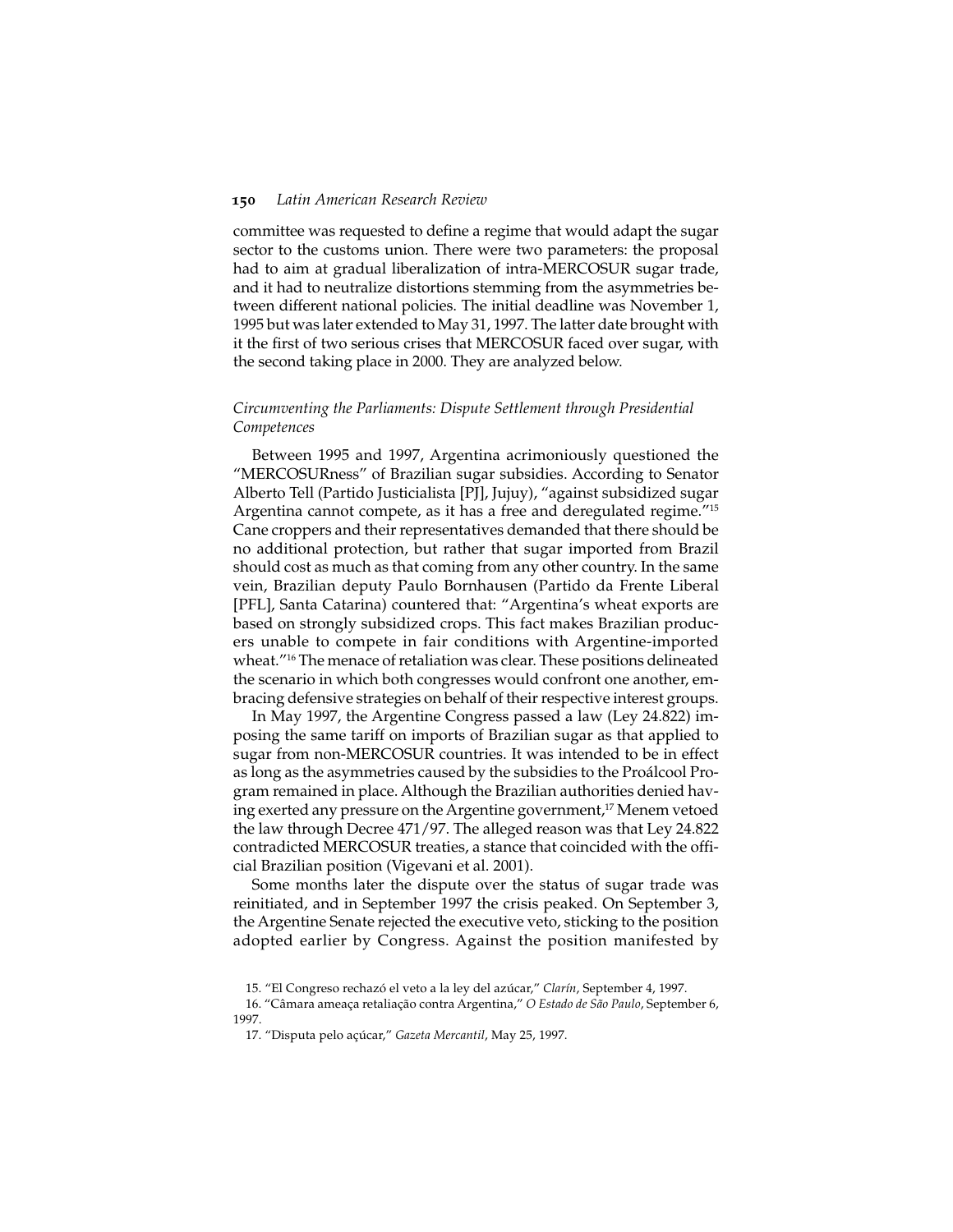committee was requested to define a regime that would adapt the sugar sector to the customs union. There were two parameters: the proposal had to aim at gradual liberalization of intra-MERCOSUR sugar trade, and it had to neutralize distortions stemming from the asymmetries between different national policies. The initial deadline was November 1, 1995 but was later extended to May 31, 1997. The latter date brought with it the first of two serious crises that MERCOSUR faced over sugar, with the second taking place in 2000. They are analyzed below.

### *Circumventing the Parliaments: Dispute Settlement through Presidential Competences*

Between 1995 and 1997, Argentina acrimoniously questioned the "MERCOSURness" of Brazilian sugar subsidies. According to Senator Alberto Tell (Partido Justicialista [PJ], Jujuy), "against subsidized sugar Argentina cannot compete, as it has a free and deregulated regime."15 Cane croppers and their representatives demanded that there should be no additional protection, but rather that sugar imported from Brazil should cost as much as that coming from any other country. In the same vein, Brazilian deputy Paulo Bornhausen (Partido da Frente Liberal [PFL], Santa Catarina) countered that: "Argentina's wheat exports are based on strongly subsidized crops. This fact makes Brazilian producers unable to compete in fair conditions with Argentine-imported wheat."16 The menace of retaliation was clear. These positions delineated the scenario in which both congresses would confront one another, embracing defensive strategies on behalf of their respective interest groups.

In May 1997, the Argentine Congress passed a law (Ley 24.822) imposing the same tariff on imports of Brazilian sugar as that applied to sugar from non-MERCOSUR countries. It was intended to be in effect as long as the asymmetries caused by the subsidies to the Proálcool Program remained in place. Although the Brazilian authorities denied having exerted any pressure on the Argentine government,<sup>17</sup> Menem vetoed the law through Decree 471/97. The alleged reason was that Ley 24.822 contradicted MERCOSUR treaties, a stance that coincided with the official Brazilian position (Vigevani et al. 2001).

Some months later the dispute over the status of sugar trade was reinitiated, and in September 1997 the crisis peaked. On September 3, the Argentine Senate rejected the executive veto, sticking to the position adopted earlier by Congress. Against the position manifested by

<sup>15. &</sup>quot;El Congreso rechazó el veto a la ley del azúcar," *Clarín*, September 4, 1997.

<sup>16. &</sup>quot;Câmara ameaça retaliação contra Argentina," *O Estado de São Paulo*, September 6, 1997.

<sup>17. &</sup>quot;Disputa pelo açúcar," *Gazeta Mercantil*, May 25, 1997.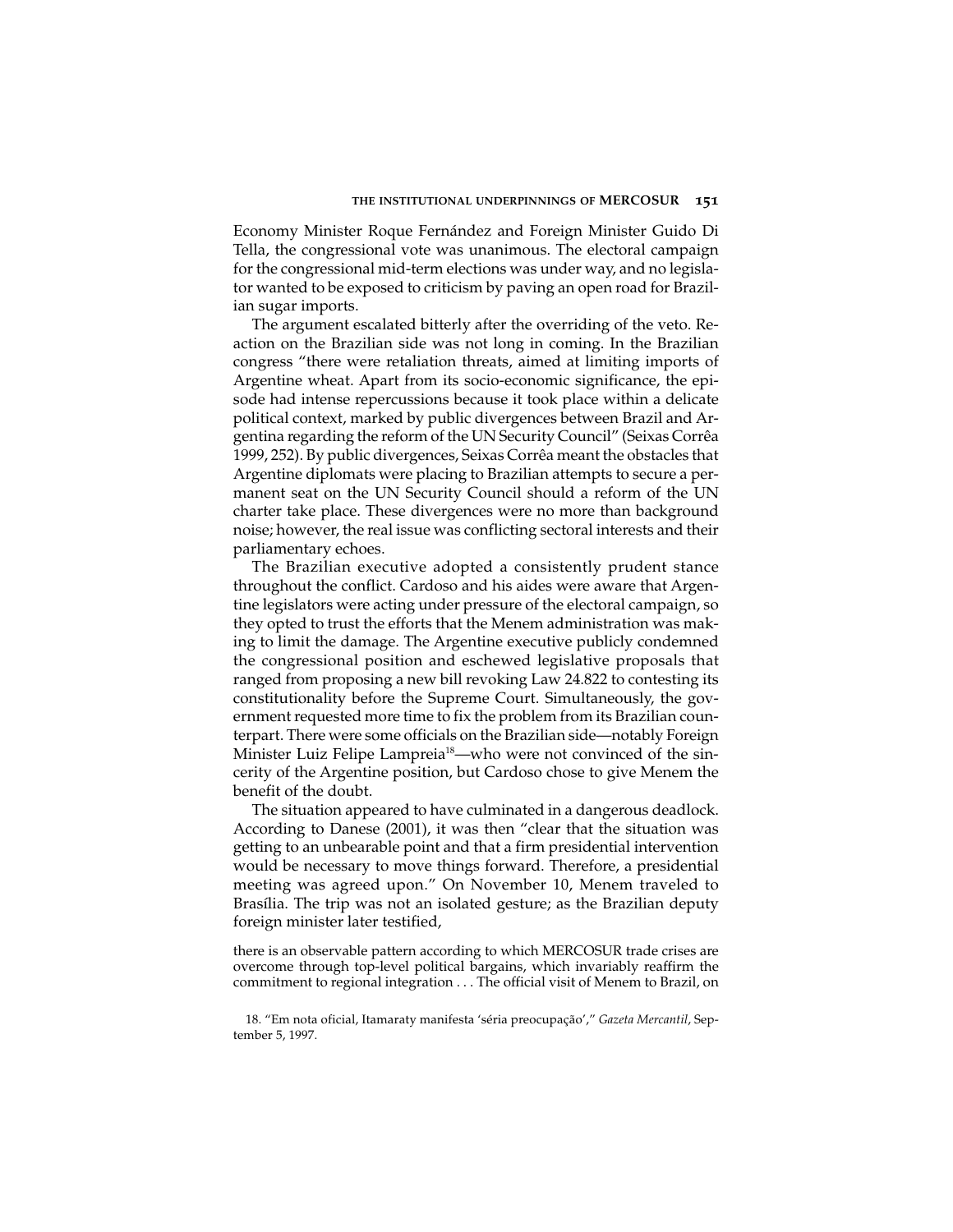Economy Minister Roque Fernández and Foreign Minister Guido Di Tella, the congressional vote was unanimous. The electoral campaign for the congressional mid-term elections was under way, and no legislator wanted to be exposed to criticism by paving an open road for Brazilian sugar imports.

The argument escalated bitterly after the overriding of the veto. Reaction on the Brazilian side was not long in coming. In the Brazilian congress "there were retaliation threats, aimed at limiting imports of Argentine wheat. Apart from its socio-economic significance, the episode had intense repercussions because it took place within a delicate political context, marked by public divergences between Brazil and Argentina regarding the reform of the UN Security Council" (Seixas Corrêa 1999, 252). By public divergences, Seixas Corrêa meant the obstacles that Argentine diplomats were placing to Brazilian attempts to secure a permanent seat on the UN Security Council should a reform of the UN charter take place. These divergences were no more than background noise; however, the real issue was conflicting sectoral interests and their parliamentary echoes.

The Brazilian executive adopted a consistently prudent stance throughout the conflict. Cardoso and his aides were aware that Argentine legislators were acting under pressure of the electoral campaign, so they opted to trust the efforts that the Menem administration was making to limit the damage. The Argentine executive publicly condemned the congressional position and eschewed legislative proposals that ranged from proposing a new bill revoking Law 24.822 to contesting its constitutionality before the Supreme Court. Simultaneously, the government requested more time to fix the problem from its Brazilian counterpart. There were some officials on the Brazilian side—notably Foreign Minister Luiz Felipe Lampreia<sup>18</sup>—who were not convinced of the sincerity of the Argentine position, but Cardoso chose to give Menem the benefit of the doubt.

The situation appeared to have culminated in a dangerous deadlock. According to Danese (2001), it was then "clear that the situation was getting to an unbearable point and that a firm presidential intervention would be necessary to move things forward. Therefore, a presidential meeting was agreed upon." On November 10, Menem traveled to Brasília. The trip was not an isolated gesture; as the Brazilian deputy foreign minister later testified,

there is an observable pattern according to which MERCOSUR trade crises are overcome through top-level political bargains, which invariably reaffirm the commitment to regional integration . . . The official visit of Menem to Brazil, on

<sup>18. &</sup>quot;Em nota oficial, Itamaraty manifesta 'séria preocupação'," *Gazeta Mercantil*, September 5, 1997.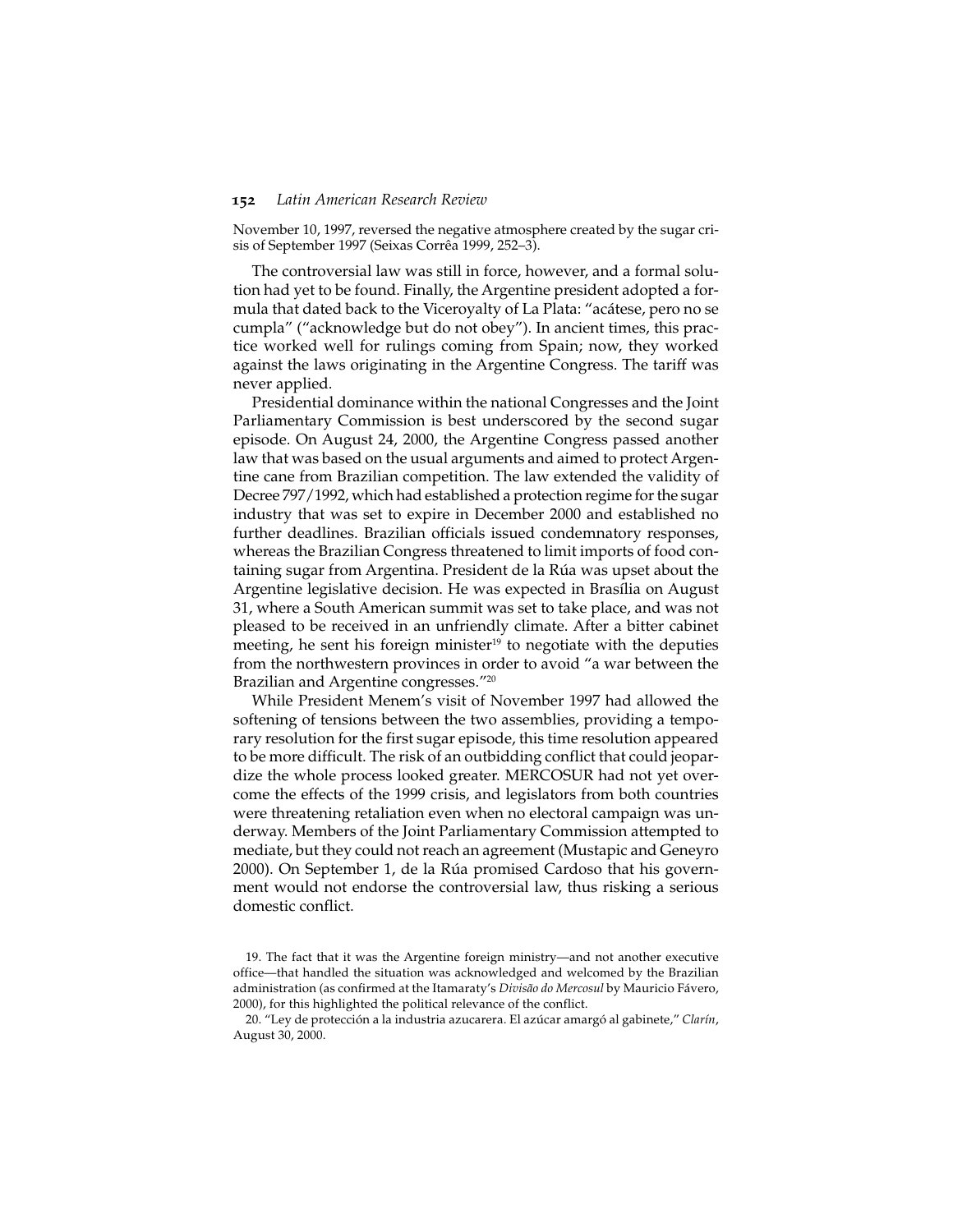November 10, 1997, reversed the negative atmosphere created by the sugar crisis of September 1997 (Seixas Corrêa 1999, 252–3).

The controversial law was still in force, however, and a formal solution had yet to be found. Finally, the Argentine president adopted a formula that dated back to the Viceroyalty of La Plata: "acátese, pero no se cumpla" ("acknowledge but do not obey"). In ancient times, this practice worked well for rulings coming from Spain; now, they worked against the laws originating in the Argentine Congress. The tariff was never applied.

Presidential dominance within the national Congresses and the Joint Parliamentary Commission is best underscored by the second sugar episode. On August 24, 2000, the Argentine Congress passed another law that was based on the usual arguments and aimed to protect Argentine cane from Brazilian competition. The law extended the validity of Decree 797/1992, which had established a protection regime for the sugar industry that was set to expire in December 2000 and established no further deadlines. Brazilian officials issued condemnatory responses, whereas the Brazilian Congress threatened to limit imports of food containing sugar from Argentina. President de la Rúa was upset about the Argentine legislative decision. He was expected in Brasília on August 31, where a South American summit was set to take place, and was not pleased to be received in an unfriendly climate. After a bitter cabinet meeting, he sent his foreign minister<sup>19</sup> to negotiate with the deputies from the northwestern provinces in order to avoid "a war between the Brazilian and Argentine congresses."20

While President Menem's visit of November 1997 had allowed the softening of tensions between the two assemblies, providing a temporary resolution for the first sugar episode, this time resolution appeared to be more difficult. The risk of an outbidding conflict that could jeopardize the whole process looked greater. MERCOSUR had not yet overcome the effects of the 1999 crisis, and legislators from both countries were threatening retaliation even when no electoral campaign was underway. Members of the Joint Parliamentary Commission attempted to mediate, but they could not reach an agreement (Mustapic and Geneyro 2000). On September 1, de la Rúa promised Cardoso that his government would not endorse the controversial law, thus risking a serious domestic conflict.

<sup>19.</sup> The fact that it was the Argentine foreign ministry—and not another executive office—that handled the situation was acknowledged and welcomed by the Brazilian administration (as confirmed at the Itamaraty's *Divisão do Mercosul* by Mauricio Fávero, 2000), for this highlighted the political relevance of the conflict.

<sup>20. &</sup>quot;Ley de protección a la industria azucarera. El azúcar amargó al gabinete," *Clarín*, August 30, 2000.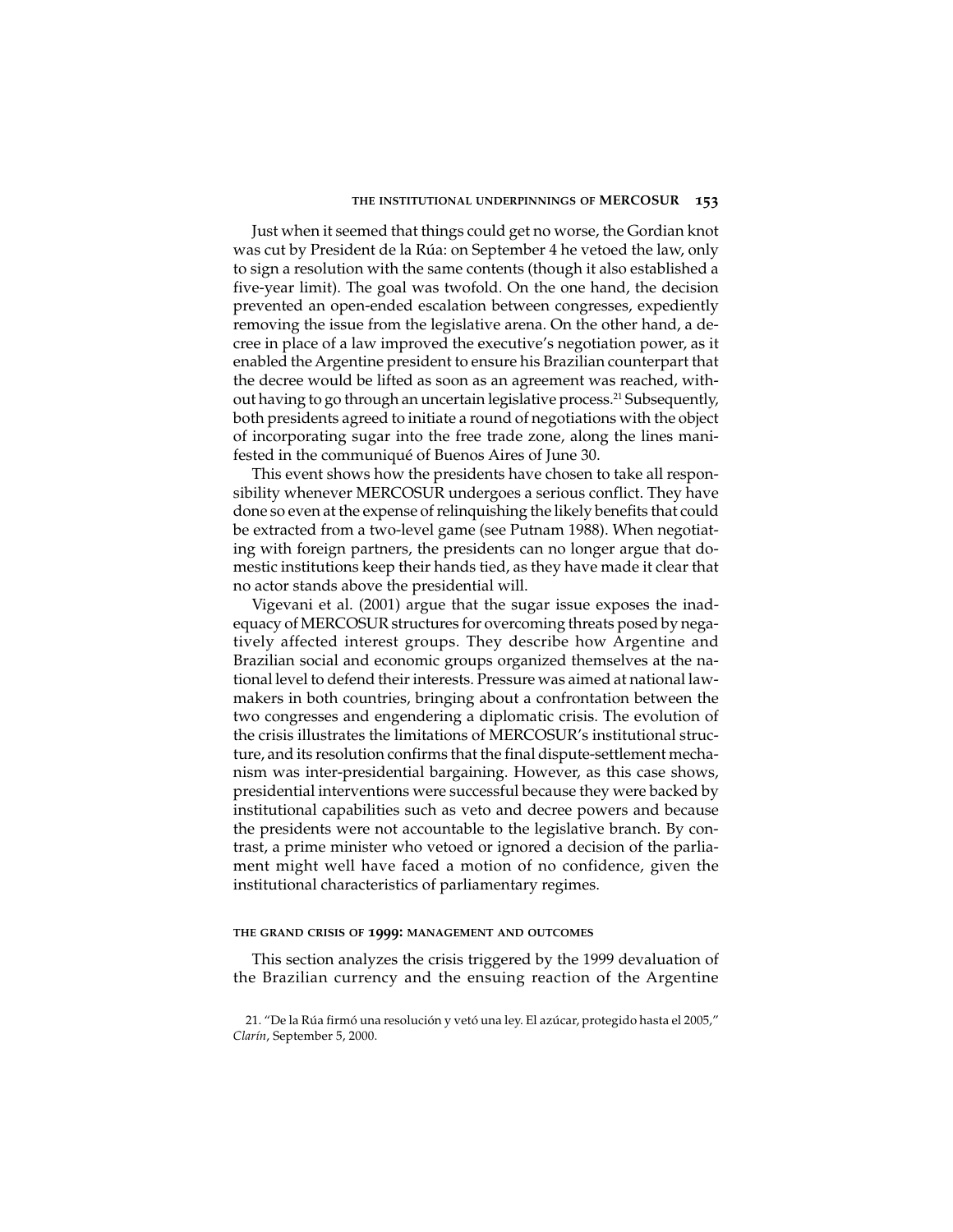#### **THE INSTITUTIONAL UNDERPINNINGS OF MERCOSUR 153**

Just when it seemed that things could get no worse, the Gordian knot was cut by President de la Rúa: on September 4 he vetoed the law, only to sign a resolution with the same contents (though it also established a five-year limit). The goal was twofold. On the one hand, the decision prevented an open-ended escalation between congresses, expediently removing the issue from the legislative arena. On the other hand, a decree in place of a law improved the executive's negotiation power, as it enabled the Argentine president to ensure his Brazilian counterpart that the decree would be lifted as soon as an agreement was reached, without having to go through an uncertain legislative process.<sup>21</sup> Subsequently, both presidents agreed to initiate a round of negotiations with the object of incorporating sugar into the free trade zone, along the lines manifested in the communiqué of Buenos Aires of June 30.

This event shows how the presidents have chosen to take all responsibility whenever MERCOSUR undergoes a serious conflict. They have done so even at the expense of relinquishing the likely benefits that could be extracted from a two-level game (see Putnam 1988). When negotiating with foreign partners, the presidents can no longer argue that domestic institutions keep their hands tied, as they have made it clear that no actor stands above the presidential will.

Vigevani et al. (2001) argue that the sugar issue exposes the inadequacy of MERCOSUR structures for overcoming threats posed by negatively affected interest groups. They describe how Argentine and Brazilian social and economic groups organized themselves at the national level to defend their interests. Pressure was aimed at national lawmakers in both countries, bringing about a confrontation between the two congresses and engendering a diplomatic crisis. The evolution of the crisis illustrates the limitations of MERCOSUR's institutional structure, and its resolution confirms that the final dispute-settlement mechanism was inter-presidential bargaining. However, as this case shows, presidential interventions were successful because they were backed by institutional capabilities such as veto and decree powers and because the presidents were not accountable to the legislative branch. By contrast, a prime minister who vetoed or ignored a decision of the parliament might well have faced a motion of no confidence, given the institutional characteristics of parliamentary regimes.

#### **THE GRAND CRISIS OF 1999: MANAGEMENT AND OUTCOMES**

This section analyzes the crisis triggered by the 1999 devaluation of the Brazilian currency and the ensuing reaction of the Argentine

<sup>21. &</sup>quot;De la Rúa firmó una resolución y vetó una ley. El azúcar, protegido hasta el 2005," *Clarín*, September 5, 2000.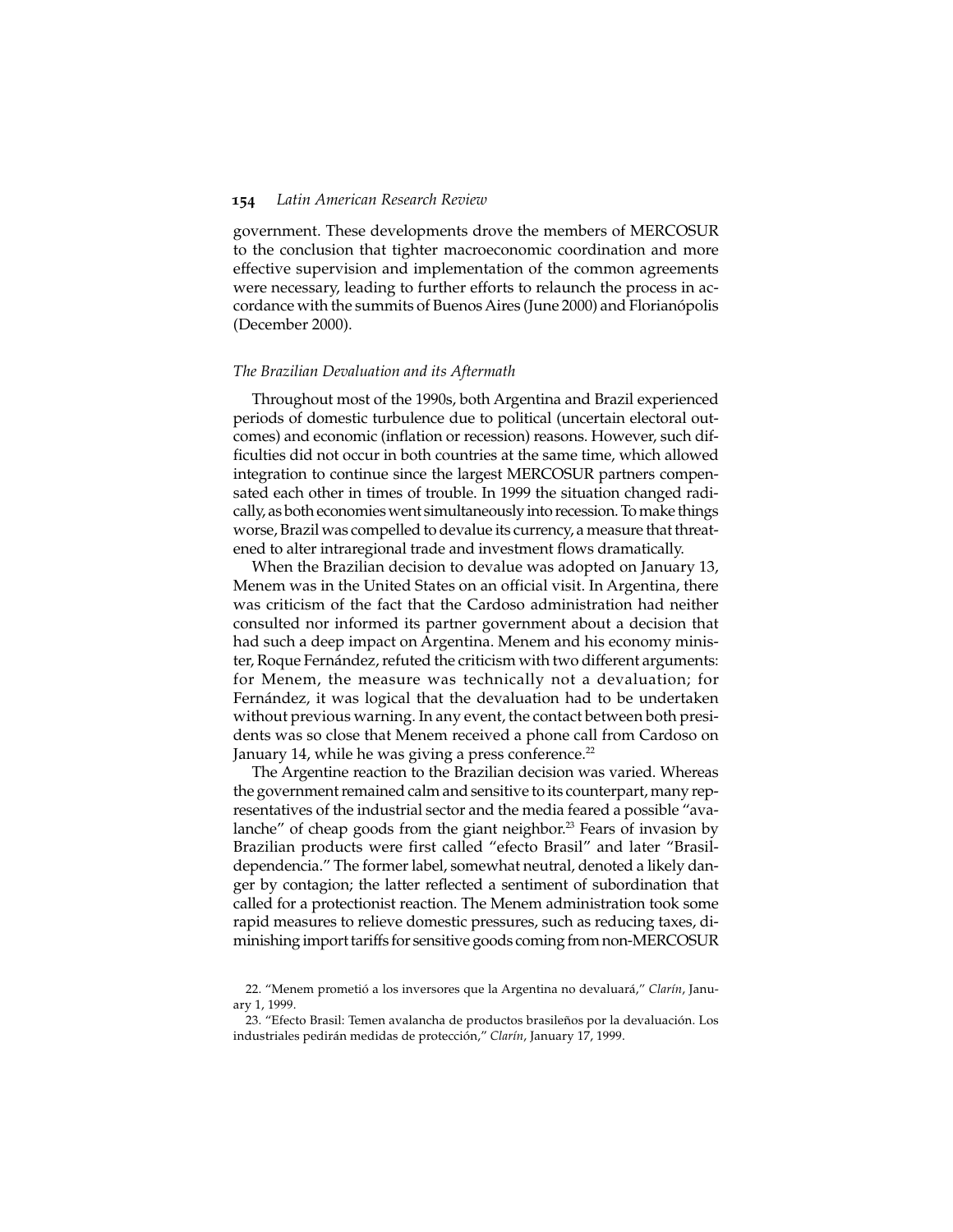government. These developments drove the members of MERCOSUR to the conclusion that tighter macroeconomic coordination and more effective supervision and implementation of the common agreements were necessary, leading to further efforts to relaunch the process in accordance with the summits of Buenos Aires (June 2000) and Florianópolis (December 2000).

#### *The Brazilian Devaluation and its Aftermath*

Throughout most of the 1990s, both Argentina and Brazil experienced periods of domestic turbulence due to political (uncertain electoral outcomes) and economic (inflation or recession) reasons. However, such difficulties did not occur in both countries at the same time, which allowed integration to continue since the largest MERCOSUR partners compensated each other in times of trouble. In 1999 the situation changed radically, as both economies went simultaneously into recession. To make things worse, Brazil was compelled to devalue its currency, a measure that threatened to alter intraregional trade and investment flows dramatically.

When the Brazilian decision to devalue was adopted on January 13, Menem was in the United States on an official visit. In Argentina, there was criticism of the fact that the Cardoso administration had neither consulted nor informed its partner government about a decision that had such a deep impact on Argentina. Menem and his economy minister, Roque Fernández, refuted the criticism with two different arguments: for Menem, the measure was technically not a devaluation; for Fernández, it was logical that the devaluation had to be undertaken without previous warning. In any event, the contact between both presidents was so close that Menem received a phone call from Cardoso on January 14, while he was giving a press conference. $22$ 

The Argentine reaction to the Brazilian decision was varied. Whereas the government remained calm and sensitive to its counterpart, many representatives of the industrial sector and the media feared a possible "avalanche" of cheap goods from the giant neighbor.<sup>23</sup> Fears of invasion by Brazilian products were first called "efecto Brasil" and later "Brasildependencia." The former label, somewhat neutral, denoted a likely danger by contagion; the latter reflected a sentiment of subordination that called for a protectionist reaction. The Menem administration took some rapid measures to relieve domestic pressures, such as reducing taxes, diminishing import tariffs for sensitive goods coming from non-MERCOSUR

<sup>22. &</sup>quot;Menem prometió a los inversores que la Argentina no devaluará," *Clarín*, January 1, 1999.

<sup>23. &</sup>quot;Efecto Brasil: Temen avalancha de productos brasileños por la devaluación. Los industriales pedirán medidas de protección," *Clarín*, January 17, 1999.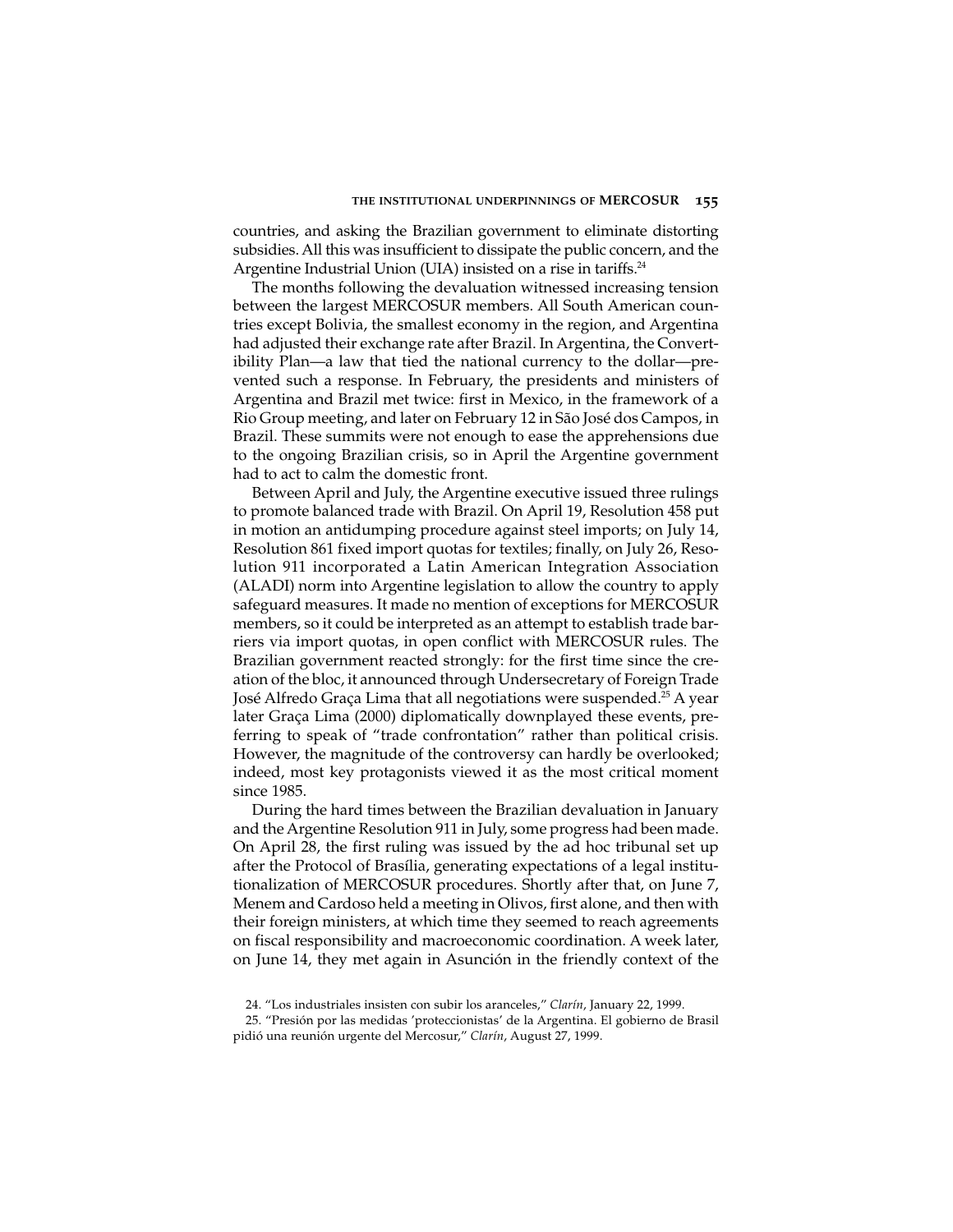countries, and asking the Brazilian government to eliminate distorting subsidies. All this was insufficient to dissipate the public concern, and the Argentine Industrial Union (UIA) insisted on a rise in tariffs.<sup>24</sup>

The months following the devaluation witnessed increasing tension between the largest MERCOSUR members. All South American countries except Bolivia, the smallest economy in the region, and Argentina had adjusted their exchange rate after Brazil. In Argentina, the Convertibility Plan—a law that tied the national currency to the dollar—prevented such a response. In February, the presidents and ministers of Argentina and Brazil met twice: first in Mexico, in the framework of a Rio Group meeting, and later on February 12 in São José dos Campos, in Brazil. These summits were not enough to ease the apprehensions due to the ongoing Brazilian crisis, so in April the Argentine government had to act to calm the domestic front.

Between April and July, the Argentine executive issued three rulings to promote balanced trade with Brazil. On April 19, Resolution 458 put in motion an antidumping procedure against steel imports; on July 14, Resolution 861 fixed import quotas for textiles; finally, on July 26, Resolution 911 incorporated a Latin American Integration Association (ALADI) norm into Argentine legislation to allow the country to apply safeguard measures. It made no mention of exceptions for MERCOSUR members, so it could be interpreted as an attempt to establish trade barriers via import quotas, in open conflict with MERCOSUR rules. The Brazilian government reacted strongly: for the first time since the creation of the bloc, it announced through Undersecretary of Foreign Trade José Alfredo Graça Lima that all negotiations were suspended.25 A year later Graça Lima (2000) diplomatically downplayed these events, preferring to speak of "trade confrontation" rather than political crisis. However, the magnitude of the controversy can hardly be overlooked; indeed, most key protagonists viewed it as the most critical moment since 1985.

During the hard times between the Brazilian devaluation in January and the Argentine Resolution 911 in July, some progress had been made. On April 28, the first ruling was issued by the ad hoc tribunal set up after the Protocol of Brasília, generating expectations of a legal institutionalization of MERCOSUR procedures. Shortly after that, on June 7, Menem and Cardoso held a meeting in Olivos, first alone, and then with their foreign ministers, at which time they seemed to reach agreements on fiscal responsibility and macroeconomic coordination. A week later, on June 14, they met again in Asunción in the friendly context of the

<sup>24. &</sup>quot;Los industriales insisten con subir los aranceles," *Clarín*, January 22, 1999.

<sup>25. &</sup>quot;Presión por las medidas 'proteccionistas' de la Argentina. El gobierno de Brasil pidió una reunión urgente del Mercosur," *Clarín*, August 27, 1999.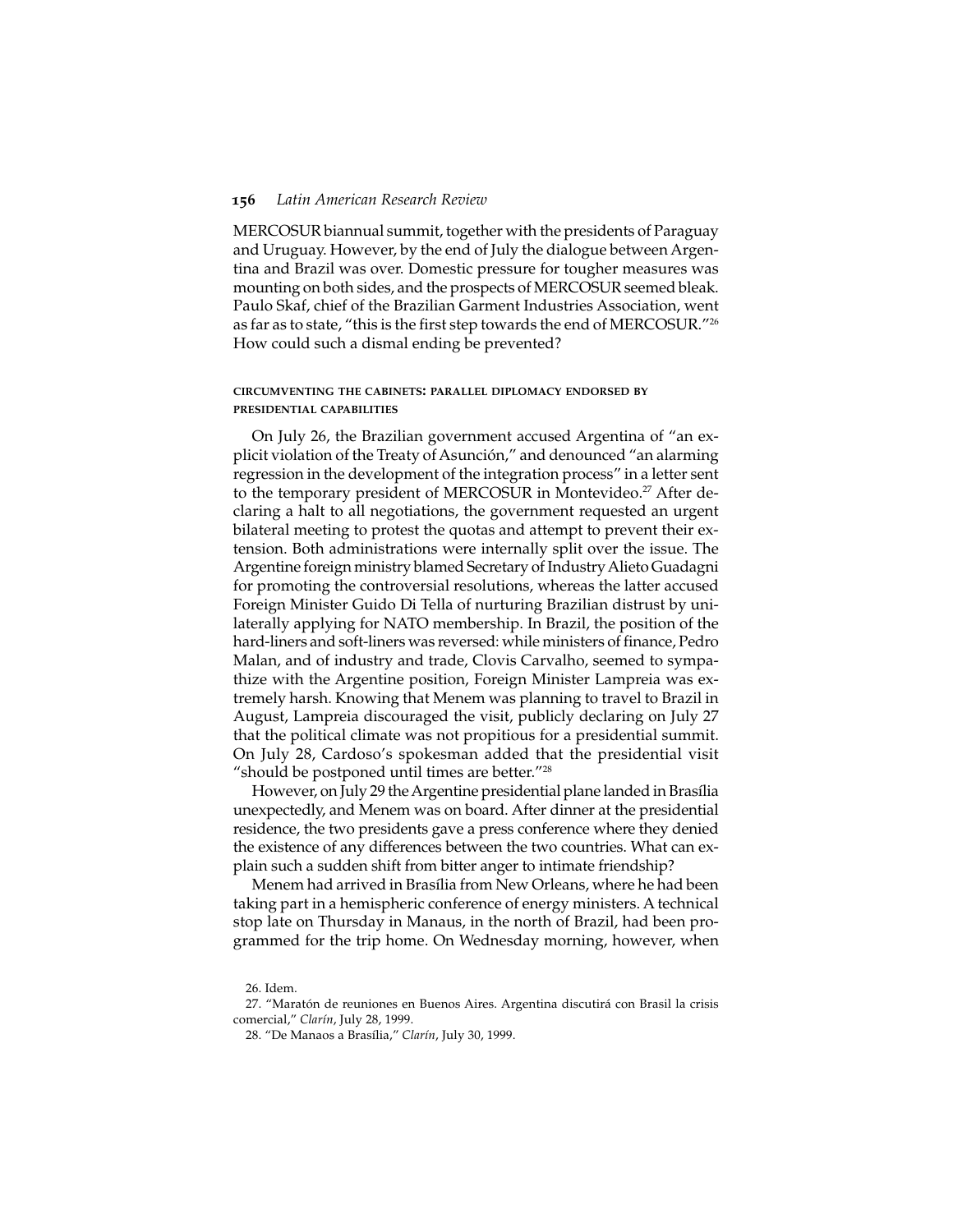MERCOSUR biannual summit, together with the presidents of Paraguay and Uruguay. However, by the end of July the dialogue between Argentina and Brazil was over. Domestic pressure for tougher measures was mounting on both sides, and the prospects of MERCOSUR seemed bleak. Paulo Skaf, chief of the Brazilian Garment Industries Association, went as far as to state, "this is the first step towards the end of MERCOSUR."26 How could such a dismal ending be prevented?

### **CIRCUMVENTING THE CABINETS: PARALLEL DIPLOMACY ENDORSED BY PRESIDENTIAL CAPABILITIES**

On July 26, the Brazilian government accused Argentina of "an explicit violation of the Treaty of Asunción," and denounced "an alarming regression in the development of the integration process" in a letter sent to the temporary president of MERCOSUR in Montevideo.<sup>27</sup> After declaring a halt to all negotiations, the government requested an urgent bilateral meeting to protest the quotas and attempt to prevent their extension. Both administrations were internally split over the issue. The Argentine foreign ministry blamed Secretary of Industry Alieto Guadagni for promoting the controversial resolutions, whereas the latter accused Foreign Minister Guido Di Tella of nurturing Brazilian distrust by unilaterally applying for NATO membership. In Brazil, the position of the hard-liners and soft-liners was reversed: while ministers of finance, Pedro Malan, and of industry and trade, Clovis Carvalho, seemed to sympathize with the Argentine position, Foreign Minister Lampreia was extremely harsh. Knowing that Menem was planning to travel to Brazil in August, Lampreia discouraged the visit, publicly declaring on July 27 that the political climate was not propitious for a presidential summit. On July 28, Cardoso's spokesman added that the presidential visit "should be postponed until times are better."28

However, on July 29 the Argentine presidential plane landed in Brasília unexpectedly, and Menem was on board. After dinner at the presidential residence, the two presidents gave a press conference where they denied the existence of any differences between the two countries. What can explain such a sudden shift from bitter anger to intimate friendship?

Menem had arrived in Brasília from New Orleans, where he had been taking part in a hemispheric conference of energy ministers. A technical stop late on Thursday in Manaus, in the north of Brazil, had been programmed for the trip home. On Wednesday morning, however, when

<sup>26.</sup> Idem.

<sup>27. &</sup>quot;Maratón de reuniones en Buenos Aires. Argentina discutirá con Brasil la crisis comercial," *Clarín*, July 28, 1999.

<sup>28. &</sup>quot;De Manaos a Brasília," *Clarín*, July 30, 1999.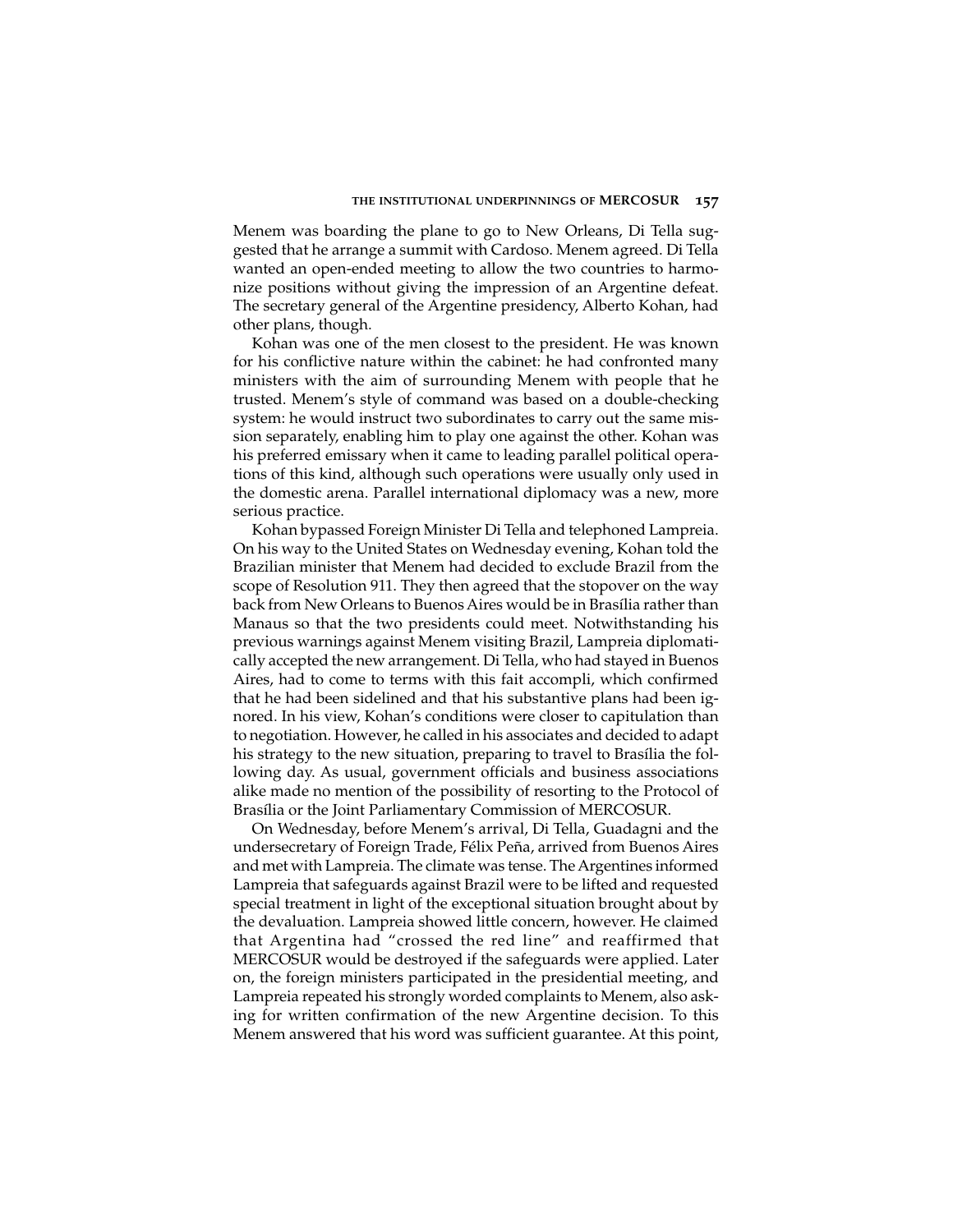Menem was boarding the plane to go to New Orleans, Di Tella suggested that he arrange a summit with Cardoso. Menem agreed. Di Tella wanted an open-ended meeting to allow the two countries to harmonize positions without giving the impression of an Argentine defeat. The secretary general of the Argentine presidency, Alberto Kohan, had other plans, though.

Kohan was one of the men closest to the president. He was known for his conflictive nature within the cabinet: he had confronted many ministers with the aim of surrounding Menem with people that he trusted. Menem's style of command was based on a double-checking system: he would instruct two subordinates to carry out the same mission separately, enabling him to play one against the other. Kohan was his preferred emissary when it came to leading parallel political operations of this kind, although such operations were usually only used in the domestic arena. Parallel international diplomacy was a new, more serious practice.

Kohan bypassed Foreign Minister Di Tella and telephoned Lampreia. On his way to the United States on Wednesday evening, Kohan told the Brazilian minister that Menem had decided to exclude Brazil from the scope of Resolution 911. They then agreed that the stopover on the way back from New Orleans to Buenos Aires would be in Brasília rather than Manaus so that the two presidents could meet. Notwithstanding his previous warnings against Menem visiting Brazil, Lampreia diplomatically accepted the new arrangement. Di Tella, who had stayed in Buenos Aires, had to come to terms with this fait accompli, which confirmed that he had been sidelined and that his substantive plans had been ignored. In his view, Kohan's conditions were closer to capitulation than to negotiation. However, he called in his associates and decided to adapt his strategy to the new situation, preparing to travel to Brasília the following day. As usual, government officials and business associations alike made no mention of the possibility of resorting to the Protocol of Brasília or the Joint Parliamentary Commission of MERCOSUR.

On Wednesday, before Menem's arrival, Di Tella, Guadagni and the undersecretary of Foreign Trade, Félix Peña, arrived from Buenos Aires and met with Lampreia. The climate was tense. The Argentines informed Lampreia that safeguards against Brazil were to be lifted and requested special treatment in light of the exceptional situation brought about by the devaluation. Lampreia showed little concern, however. He claimed that Argentina had "crossed the red line" and reaffirmed that MERCOSUR would be destroyed if the safeguards were applied. Later on, the foreign ministers participated in the presidential meeting, and Lampreia repeated his strongly worded complaints to Menem, also asking for written confirmation of the new Argentine decision. To this Menem answered that his word was sufficient guarantee. At this point,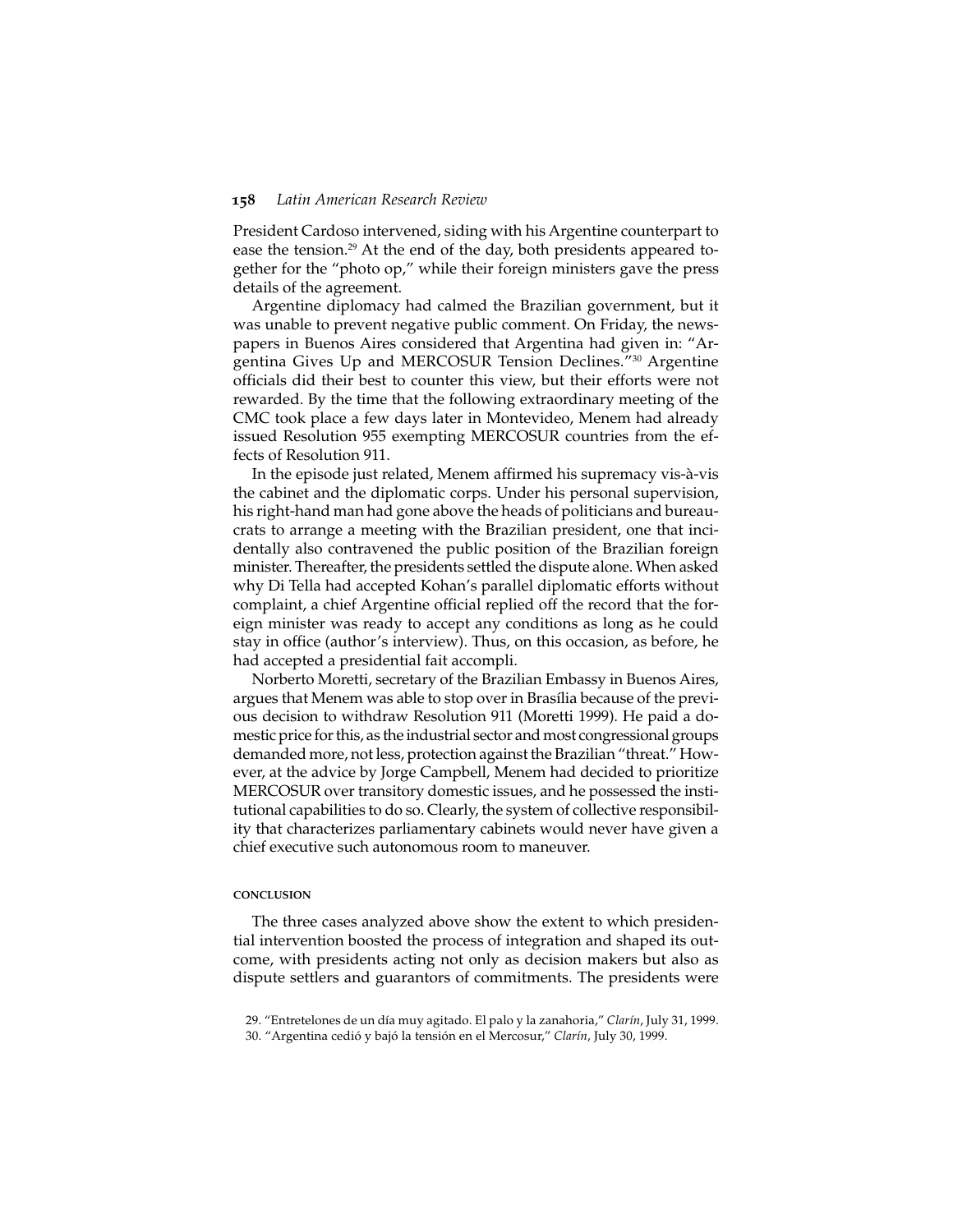President Cardoso intervened, siding with his Argentine counterpart to ease the tension.<sup>29</sup> At the end of the day, both presidents appeared together for the "photo op," while their foreign ministers gave the press details of the agreement.

Argentine diplomacy had calmed the Brazilian government, but it was unable to prevent negative public comment. On Friday, the newspapers in Buenos Aires considered that Argentina had given in: "Argentina Gives Up and MERCOSUR Tension Declines."30 Argentine officials did their best to counter this view, but their efforts were not rewarded. By the time that the following extraordinary meeting of the CMC took place a few days later in Montevideo, Menem had already issued Resolution 955 exempting MERCOSUR countries from the effects of Resolution 911.

In the episode just related, Menem affirmed his supremacy vis-à-vis the cabinet and the diplomatic corps. Under his personal supervision, his right-hand man had gone above the heads of politicians and bureaucrats to arrange a meeting with the Brazilian president, one that incidentally also contravened the public position of the Brazilian foreign minister. Thereafter, the presidents settled the dispute alone. When asked why Di Tella had accepted Kohan's parallel diplomatic efforts without complaint, a chief Argentine official replied off the record that the foreign minister was ready to accept any conditions as long as he could stay in office (author's interview). Thus, on this occasion, as before, he had accepted a presidential fait accompli.

Norberto Moretti, secretary of the Brazilian Embassy in Buenos Aires, argues that Menem was able to stop over in Brasília because of the previous decision to withdraw Resolution 911 (Moretti 1999). He paid a domestic price for this, as the industrial sector and most congressional groups demanded more, not less, protection against the Brazilian "threat." However, at the advice by Jorge Campbell, Menem had decided to prioritize MERCOSUR over transitory domestic issues, and he possessed the institutional capabilities to do so. Clearly, the system of collective responsibility that characterizes parliamentary cabinets would never have given a chief executive such autonomous room to maneuver.

#### **CONCLUSION**

The three cases analyzed above show the extent to which presidential intervention boosted the process of integration and shaped its outcome, with presidents acting not only as decision makers but also as dispute settlers and guarantors of commitments. The presidents were

<sup>29. &</sup>quot;Entretelones de un día muy agitado. El palo y la zanahoria," *Clarín*, July 31, 1999. 30. "Argentina cedió y bajó la tensión en el Mercosur," *Clarín*, July 30, 1999.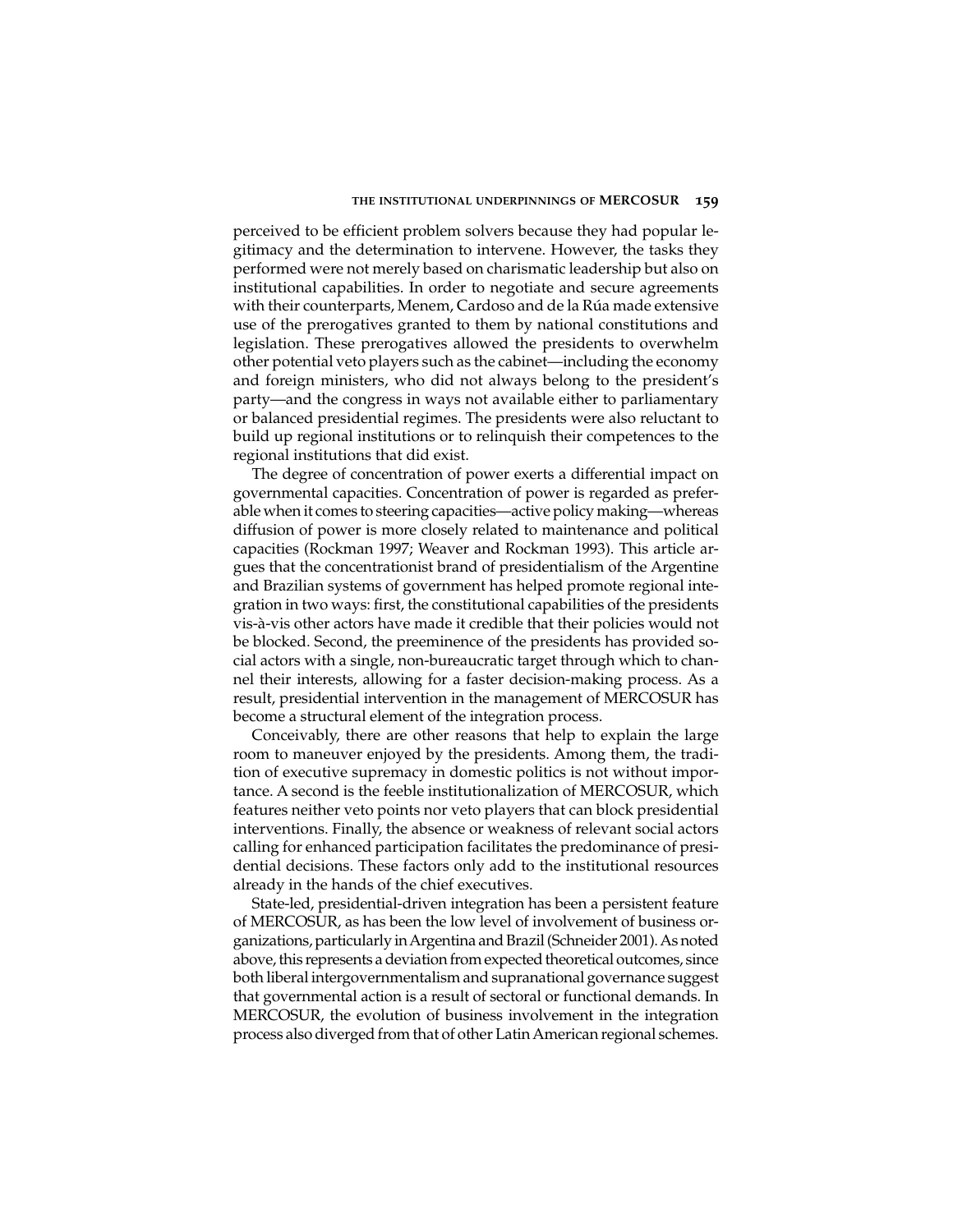perceived to be efficient problem solvers because they had popular legitimacy and the determination to intervene. However, the tasks they performed were not merely based on charismatic leadership but also on institutional capabilities. In order to negotiate and secure agreements with their counterparts, Menem, Cardoso and de la Rúa made extensive use of the prerogatives granted to them by national constitutions and legislation. These prerogatives allowed the presidents to overwhelm other potential veto players such as the cabinet—including the economy and foreign ministers, who did not always belong to the president's party—and the congress in ways not available either to parliamentary or balanced presidential regimes. The presidents were also reluctant to build up regional institutions or to relinquish their competences to the regional institutions that did exist.

The degree of concentration of power exerts a differential impact on governmental capacities. Concentration of power is regarded as preferable when it comes to steering capacities—active policy making—whereas diffusion of power is more closely related to maintenance and political capacities (Rockman 1997; Weaver and Rockman 1993). This article argues that the concentrationist brand of presidentialism of the Argentine and Brazilian systems of government has helped promote regional integration in two ways: first, the constitutional capabilities of the presidents vis-à-vis other actors have made it credible that their policies would not be blocked. Second, the preeminence of the presidents has provided social actors with a single, non-bureaucratic target through which to channel their interests, allowing for a faster decision-making process. As a result, presidential intervention in the management of MERCOSUR has become a structural element of the integration process.

Conceivably, there are other reasons that help to explain the large room to maneuver enjoyed by the presidents. Among them, the tradition of executive supremacy in domestic politics is not without importance. A second is the feeble institutionalization of MERCOSUR, which features neither veto points nor veto players that can block presidential interventions. Finally, the absence or weakness of relevant social actors calling for enhanced participation facilitates the predominance of presidential decisions. These factors only add to the institutional resources already in the hands of the chief executives.

State-led, presidential-driven integration has been a persistent feature of MERCOSUR, as has been the low level of involvement of business organizations, particularly in Argentina and Brazil (Schneider 2001). As noted above, this represents a deviation from expected theoretical outcomes, since both liberal intergovernmentalism and supranational governance suggest that governmental action is a result of sectoral or functional demands. In MERCOSUR, the evolution of business involvement in the integration process also diverged from that of other Latin American regional schemes.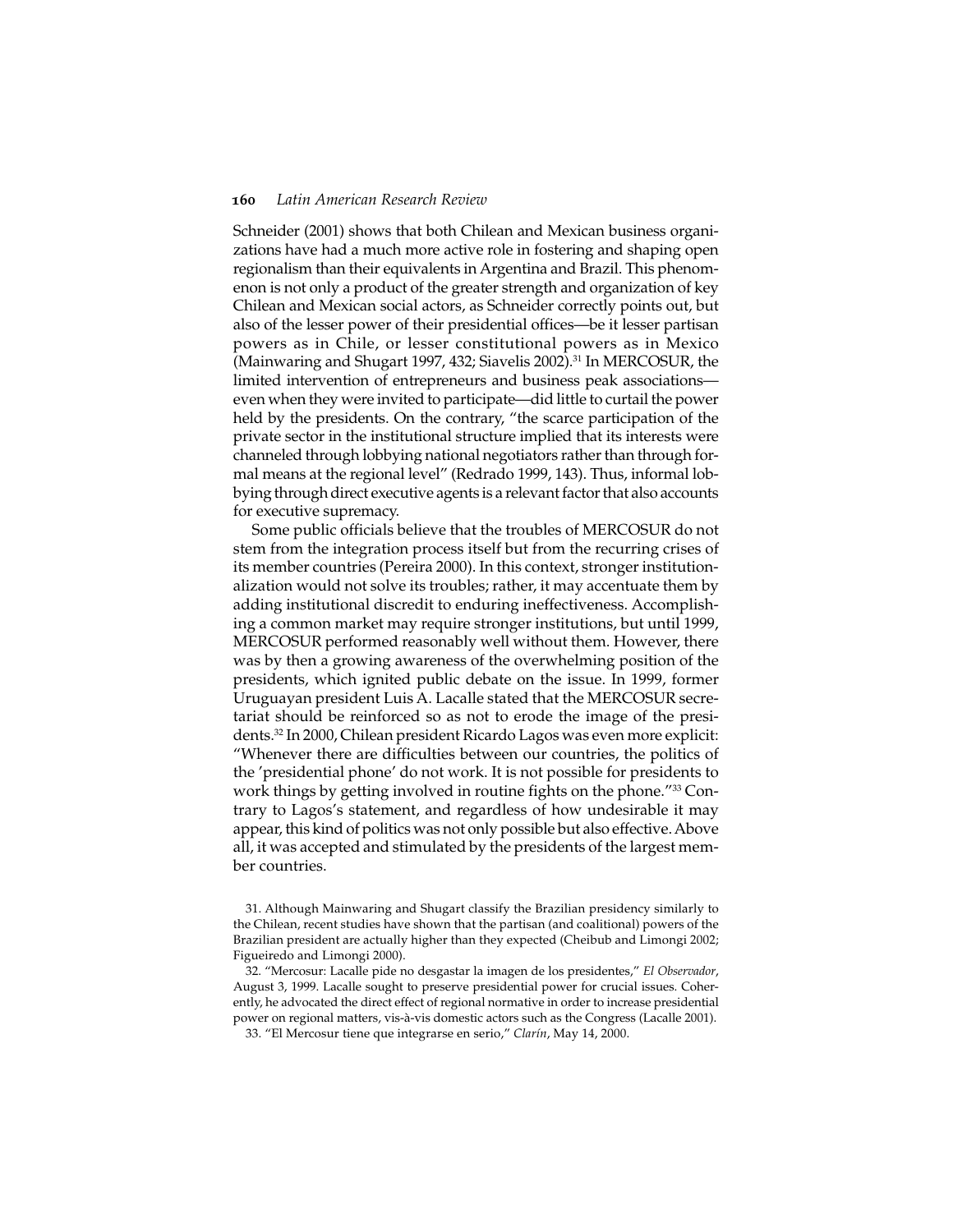Schneider (2001) shows that both Chilean and Mexican business organizations have had a much more active role in fostering and shaping open regionalism than their equivalents in Argentina and Brazil. This phenomenon is not only a product of the greater strength and organization of key Chilean and Mexican social actors, as Schneider correctly points out, but also of the lesser power of their presidential offices—be it lesser partisan powers as in Chile, or lesser constitutional powers as in Mexico (Mainwaring and Shugart 1997, 432; Siavelis 2002).<sup>31</sup> In MERCOSUR, the limited intervention of entrepreneurs and business peak associations even when they were invited to participate—did little to curtail the power held by the presidents. On the contrary, "the scarce participation of the private sector in the institutional structure implied that its interests were channeled through lobbying national negotiators rather than through formal means at the regional level" (Redrado 1999, 143). Thus, informal lobbying through direct executive agents is a relevant factor that also accounts for executive supremacy.

Some public officials believe that the troubles of MERCOSUR do not stem from the integration process itself but from the recurring crises of its member countries (Pereira 2000). In this context, stronger institutionalization would not solve its troubles; rather, it may accentuate them by adding institutional discredit to enduring ineffectiveness. Accomplishing a common market may require stronger institutions, but until 1999, MERCOSUR performed reasonably well without them. However, there was by then a growing awareness of the overwhelming position of the presidents, which ignited public debate on the issue. In 1999, former Uruguayan president Luis A. Lacalle stated that the MERCOSUR secretariat should be reinforced so as not to erode the image of the presidents.32 In 2000, Chilean president Ricardo Lagos was even more explicit: "Whenever there are difficulties between our countries, the politics of the 'presidential phone' do not work. It is not possible for presidents to work things by getting involved in routine fights on the phone."33 Contrary to Lagos's statement, and regardless of how undesirable it may appear, this kind of politics was not only possible but also effective. Above all, it was accepted and stimulated by the presidents of the largest member countries.

<sup>31.</sup> Although Mainwaring and Shugart classify the Brazilian presidency similarly to the Chilean, recent studies have shown that the partisan (and coalitional) powers of the Brazilian president are actually higher than they expected (Cheibub and Limongi 2002; Figueiredo and Limongi 2000).

<sup>32. &</sup>quot;Mercosur: Lacalle pide no desgastar la imagen de los presidentes," *El Observador*, August 3, 1999. Lacalle sought to preserve presidential power for crucial issues. Coherently, he advocated the direct effect of regional normative in order to increase presidential power on regional matters, vis-à-vis domestic actors such as the Congress (Lacalle 2001). 33. "El Mercosur tiene que integrarse en serio," *Clarín*, May 14, 2000.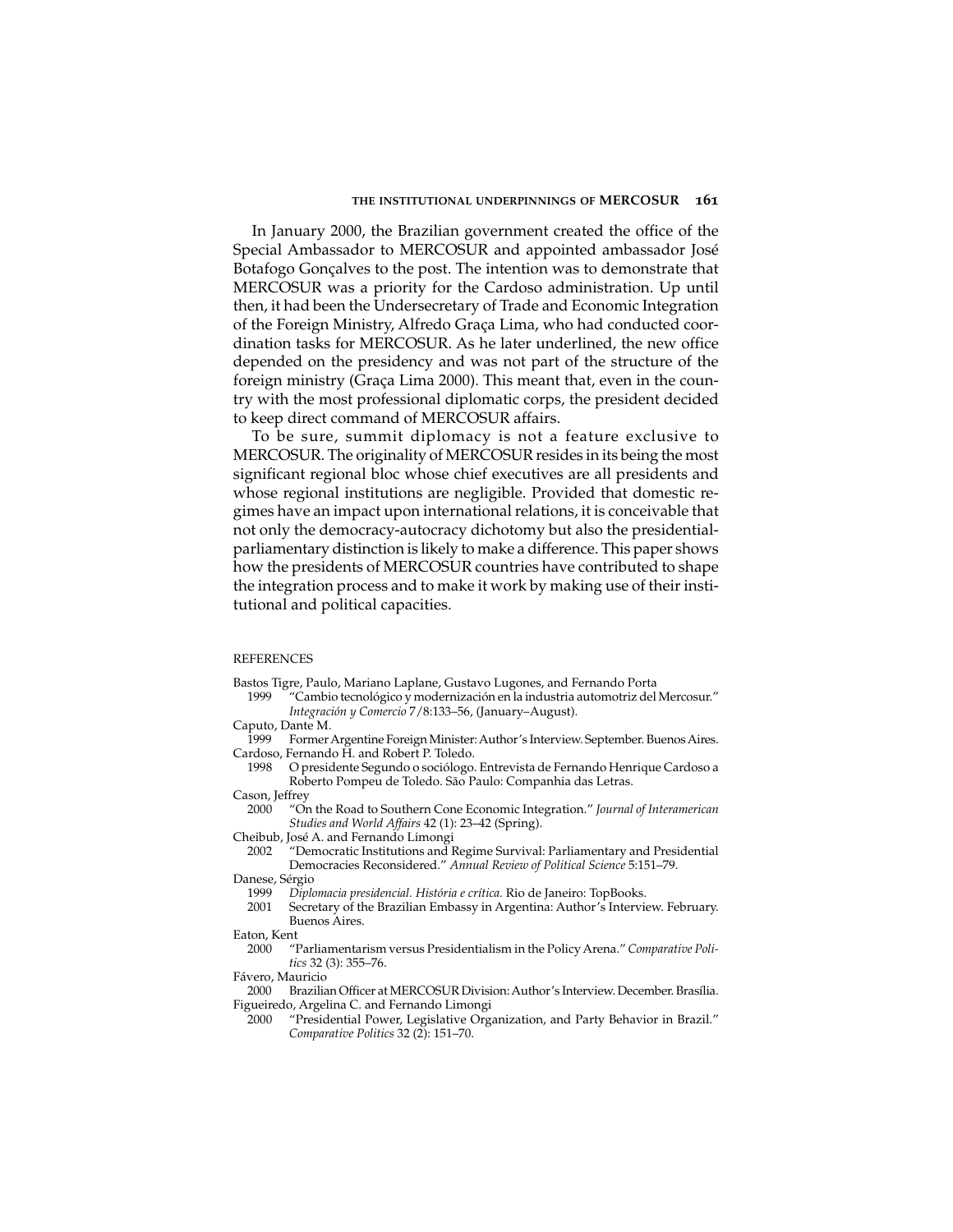In January 2000, the Brazilian government created the office of the Special Ambassador to MERCOSUR and appointed ambassador José Botafogo Gonçalves to the post. The intention was to demonstrate that MERCOSUR was a priority for the Cardoso administration. Up until then, it had been the Undersecretary of Trade and Economic Integration of the Foreign Ministry, Alfredo Graça Lima, who had conducted coordination tasks for MERCOSUR. As he later underlined, the new office depended on the presidency and was not part of the structure of the foreign ministry (Graça Lima 2000). This meant that, even in the country with the most professional diplomatic corps, the president decided to keep direct command of MERCOSUR affairs.

To be sure, summit diplomacy is not a feature exclusive to MERCOSUR. The originality of MERCOSUR resides in its being the most significant regional bloc whose chief executives are all presidents and whose regional institutions are negligible. Provided that domestic regimes have an impact upon international relations, it is conceivable that not only the democracy-autocracy dichotomy but also the presidentialparliamentary distinction is likely to make a difference. This paper shows how the presidents of MERCOSUR countries have contributed to shape the integration process and to make it work by making use of their institutional and political capacities.

#### REFERENCES

- Bastos Tigre, Paulo, Mariano Laplane, Gustavo Lugones, and Fernando Porta
	- 1999 "Cambio tecnológico y modernización en la industria automotriz del Mercosur." *Integración y Comercio* 7/8:133–56, (January–August).

# Caputo, Dante M.

- 1999 Former Argentine Foreign Minister: Author's Interview. September. Buenos Aires. Cardoso, Fernando H. and Robert P. Toledo.
	- O presidente Segundo o sociólogo. Entrevista de Fernando Henrique Cardoso a Roberto Pompeu de Toledo. São Paulo: Companhia das Letras.

### Cason, Jeffrey<br>
2000 "Or

- 2000 "On the Road to Southern Cone Economic Integration." *Journal of Interamerican Studies and World Affairs* 42 (1): 23–42 (Spring).
- Cheibub, José A. and Fernando Limongi
	- "Democratic Institutions and Regime Survival: Parliamentary and Presidential Democracies Reconsidered." *Annual Review of Political Science* 5:151–79.

## Danese, Sérgio

- 1999 *Diplomacia presidencial. História e crítica.* Rio de Janeiro: TopBooks.
- Secretary of the Brazilian Embassy in Argentina: Author's Interview. February. Buenos Aires.

# Eaton, Kent<br>2000 "I

"Parliamentarism versus Presidentialism in the Policy Arena." *Comparative Politics* 32 (3): 355–76.

#### Fávero, Mauricio

2000 Brazilian Officer at MERCOSUR Division: Author's Interview. December. Brasília. Figueiredo, Argelina C. and Fernando Limongi

"Presidential Power, Legislative Organization, and Party Behavior in Brazil." *Comparative Politics* 32 (2): 151–70.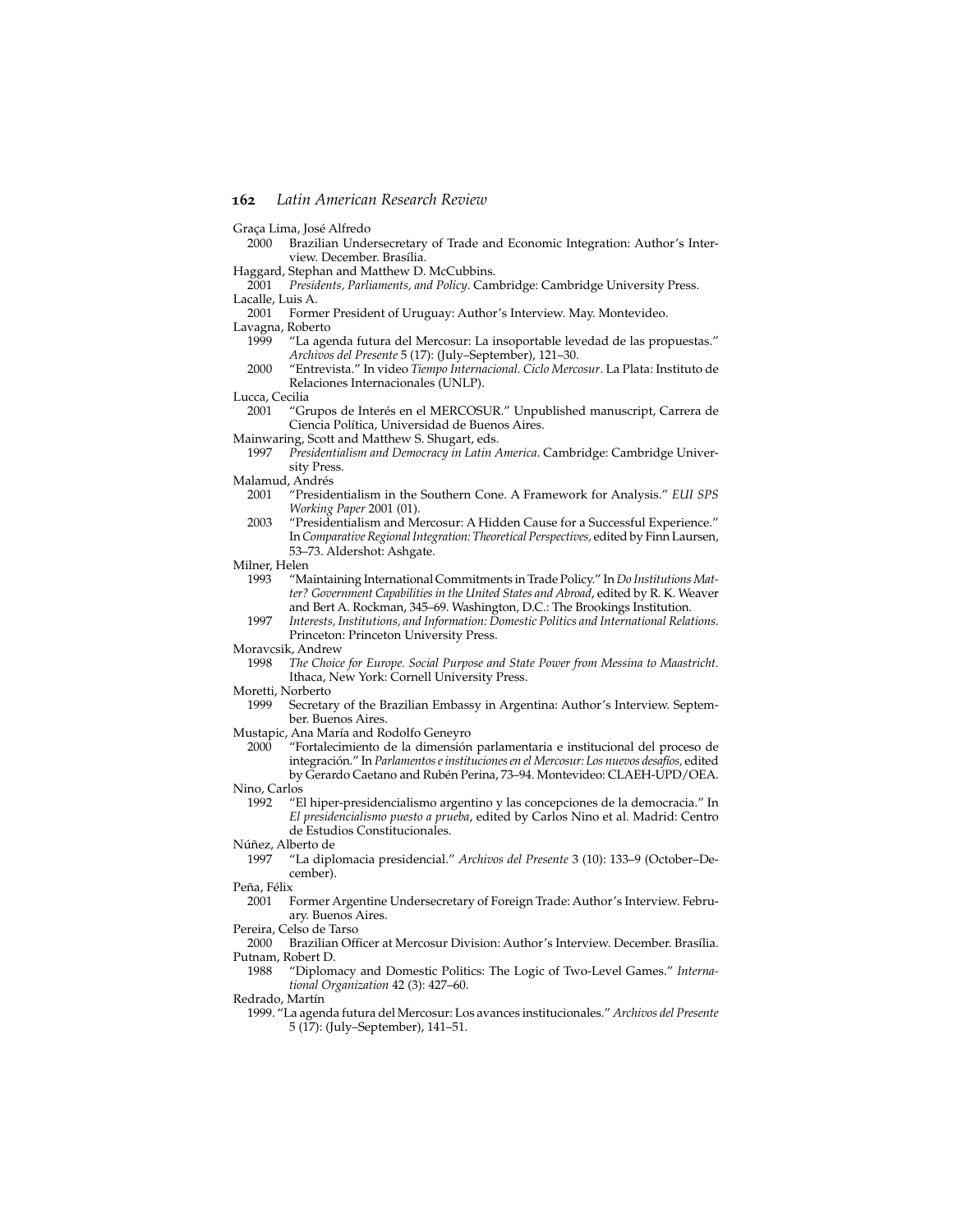Graça Lima, José Alfredo

- 2000 Brazilian Undersecretary of Trade and Economic Integration: Author's Interview. December. Brasília.
- Haggard, Stephan and Matthew D. McCubbins.
- 2001 *Presidents, Parliaments, and Policy*. Cambridge: Cambridge University Press. Lacalle, Luis A.
- 2001 Former President of Uruguay: Author's Interview. May. Montevideo.

# Lavagna, Roberto

- "La agenda futura del Mercosur: La insoportable levedad de las propuestas." *Archivos del Presente* 5 (17): (July–September), 121–30.
- 2000 "Entrevista." In video *Tiempo Internacional. Ciclo Mercosur*. La Plata: Instituto de Relaciones Internacionales (UNLP).

# Lucca, Cecilia<br>
2001 "Gr

"Grupos de Interés en el MERCOSUR." Unpublished manuscript, Carrera de Ciencia Política, Universidad de Buenos Aires.

Mainwaring, Scott and Matthew S. Shugart, eds.

- 1997 *Presidentialism and Democracy in Latin America*. Cambridge: Cambridge University Press.
- Malamud, Andrés
	- 2001 "Presidentialism in the Southern Cone. A Framework for Analysis." *EUI SPS Working Paper* 2001 (01).
	- 2003 "Presidentialism and Mercosur: A Hidden Cause for a Successful Experience." In *Comparative Regional Integration: Theoretical Perspectives,* edited by Finn Laursen, 53–73. Aldershot: Ashgate.

Milner, Helen<br>1993 "Ma

- "Maintaining International Commitments in Trade Policy." In *Do Institutions Matter? Government Capabilities in the United States and Abroad*, edited by R. K. Weaver and Bert A. Rockman, 345–69. Washington, D.C.: The Brookings Institution.
- 1997 *Interests, Institutions, and Information: Domestic Politics and International Relations.* Princeton: Princeton University Press.
- Moravcsik, Andrew
	- 1998 *The Choice for Europe. Social Purpose and State Power from Messina to Maastricht.* Ithaca, New York: Cornell University Press.
- Moretti, Norberto<br>1999 Secretar
	- Secretary of the Brazilian Embassy in Argentina: Author's Interview. September. Buenos Aires.
- Mustapic, Ana María and Rodolfo Geneyro
	- 2000 "Fortalecimiento de la dimensión parlamentaria e institucional del proceso de integración." In *Parlamentos e instituciones en el Mercosur: Los nuevos desafíos,* edited by Gerardo Caetano and Rubén Perina, 73–94. Montevideo: CLAEH-UPD/OEA.
- Nino, Carlos
	- 1992 "El hiper-presidencialismo argentino y las concepciones de la democracia." In *El presidencialismo puesto a prueba*, edited by Carlos Nino et al. Madrid: Centro de Estudios Constitucionales.
- Núñez, Alberto de
	- 1997 "La diplomacia presidencial." *Archivos del Presente* 3 (10): 133–9 (October–December).

#### Peña, Félix

- 2001 Former Argentine Undersecretary of Foreign Trade: Author's Interview. February. Buenos Aires.
- Pereira, Celso de Tarso
- 2000 Brazilian Officer at Mercosur Division: Author's Interview. December. Brasília. Putnam, Robert D.<br>1988 "Diplom
	- "Diplomacy and Domestic Politics: The Logic of Two-Level Games." Interna*tional Organization* 42 (3): 427–60.
- Redrado, Martín
	- 1999. "La agenda futura del Mercosur: Los avances institucionales." *Archivos del Presente* 5 (17): (July–September), 141–51.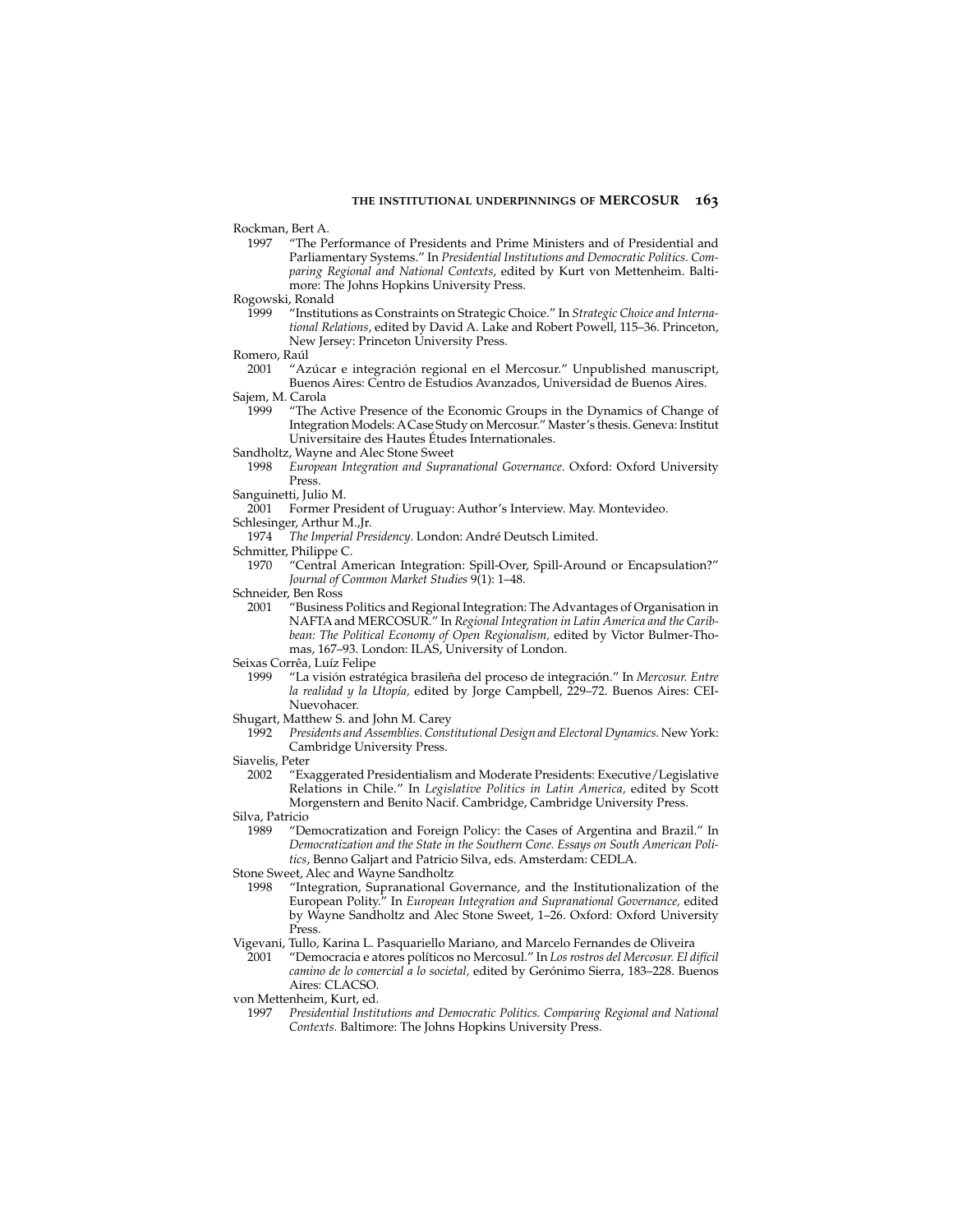Rockman, Bert A.<br>1997 The Po

- "The Performance of Presidents and Prime Ministers and of Presidential and Parliamentary Systems." In *Presidential Institutions and Democratic Politics. Comparing Regional and National Contexts*, edited by Kurt von Mettenheim. Baltimore: The Johns Hopkins University Press.
- Rogowski, Ronald
	- "Institutions as Constraints on Strategic Choice." In Strategic Choice and Interna*tional Relations*, edited by David A. Lake and Robert Powell, 115–36. Princeton, New Jersey: Princeton University Press.
- Romero, Raúl
	- 2001 "Azúcar e integración regional en el Mercosur." Unpublished manuscript, Buenos Aires: Centro de Estudios Avanzados, Universidad de Buenos Aires.
- Sajem, M. Carola<br>1999 "The A
	- 1999 "The Active Presence of the Economic Groups in the Dynamics of Change of Integration Models: A Case Study on Mercosur." Master's thesis. Geneva: Institut Universitaire des Hautes Études Internationales.
- Sandholtz, Wayne and Alec Stone Sweet
	- 1998 *European Integration and Supranational Governance.* Oxford: Oxford University Press.
- Sanguinetti, Julio M.
- 2001 Former President of Uruguay: Author's Interview. May. Montevideo.
- Schlesinger, Arthur M., Jr.<br>1974 The Imperial Pre
	- The Imperial Presidency. London: André Deutsch Limited.
- Schmitter, Philippe C.
	- 1970 "Central American Integration: Spill-Over, Spill-Around or Encapsulation?" *Journal of Common Market Studies* 9(1): 1–48.
- Schneider, Ben Ross
	- "Business Politics and Regional Integration: The Advantages of Organisation in NAFTA and MERCOSUR." In *Regional Integration in Latin America and the Caribbean: The Political Economy of Open Regionalism,* edited by Victor Bulmer-Thomas, 167–93. London: ILAS, University of London.
- Seixas Corrêa, Luíz Felipe
	- 1999 "La visión estratégica brasileña del proceso de integración." In *Mercosur. Entre la realidad y la Utopía,* edited by Jorge Campbell, 229–72. Buenos Aires: CEI-Nuevohacer.
- Shugart, Matthew S. and John M. Carey
	- 1992 *Presidents and Assemblies. Constitutional Design and Electoral Dynamics.* New York: Cambridge University Press.
- Siavelis, Peter
	- 2002 "Exaggerated Presidentialism and Moderate Presidents: Executive/Legislative Relations in Chile." In *Legislative Politics in Latin America,* edited by Scott Morgenstern and Benito Nacif. Cambridge, Cambridge University Press.

Silva, Patricio

- 1989 "Democratization and Foreign Policy: the Cases of Argentina and Brazil." In *Democratization and the State in the Southern Cone. Essays on South American Politics*, Benno Galjart and Patricio Silva, eds. Amsterdam: CEDLA.
- Stone Sweet, Alec and Wayne Sandholtz<br>1998 "Integration, Supranational C
	- "Integration, Supranational Governance, and the Institutionalization of the European Polity." In *European Integration and Supranational Governance,* edited by Wayne Sandholtz and Alec Stone Sweet, 1–26. Oxford: Oxford University Press.
- Vigevani, Tullo, Karina L. Pasquariello Mariano, and Marcelo Fernandes de Oliveira
	- 2001 "Democracia e atores políticos no Mercosul." In *Los rostros del Mercosur. El difícil camino de lo comercial a lo societal,* edited by Gerónimo Sierra, 183–228. Buenos Aires: CLACSO.
- von Mettenheim, Kurt, ed.
	- 1997 *Presidential Institutions and Democratic Politics. Comparing Regional and National Contexts.* Baltimore: The Johns Hopkins University Press.